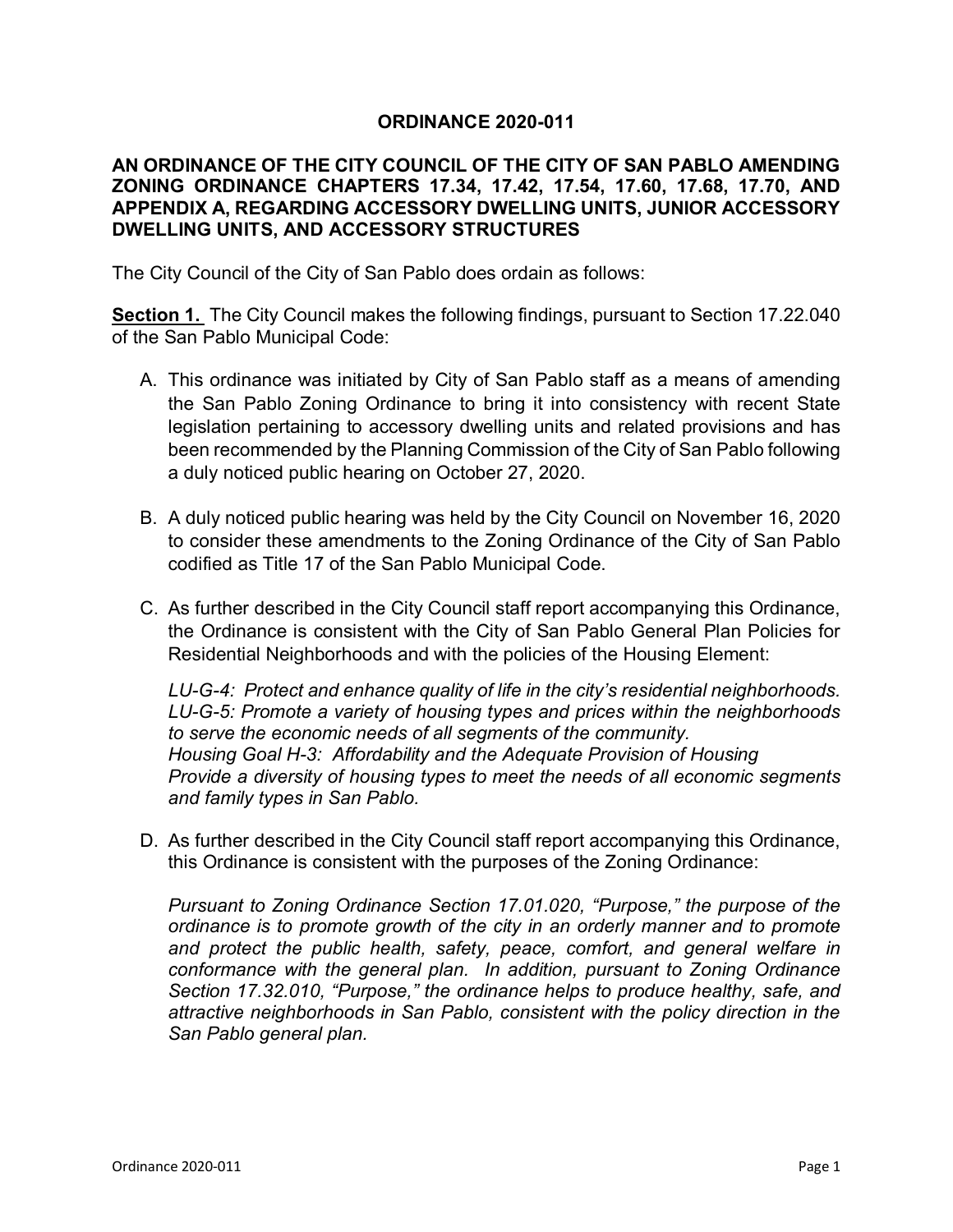## **ORDINANCE 2020-011**

## **AN ORDINANCE OF THE CITY COUNCIL OF THE CITY OF SAN PABLO AMENDING ZONING ORDINANCE CHAPTERS 17.34, 17.42, 17.54, 17.60, 17.68, 17.70, AND APPENDIX A, REGARDING ACCESSORY DWELLING UNITS, JUNIOR ACCESSORY DWELLING UNITS, AND ACCESSORY STRUCTURES**

The City Council of the City of San Pablo does ordain as follows:

**Section 1.** The City Council makes the following findings, pursuant to Section 17.22.040 of the San Pablo Municipal Code:

- A. This ordinance was initiated by City of San Pablo staff as a means of amending the San Pablo Zoning Ordinance to bring it into consistency with recent State legislation pertaining to accessory dwelling units and related provisions and has been recommended by the Planning Commission of the City of San Pablo following a duly noticed public hearing on October 27, 2020.
- B. A duly noticed public hearing was held by the City Council on November 16, 2020 to consider these amendments to the Zoning Ordinance of the City of San Pablo codified as Title 17 of the San Pablo Municipal Code.
- C. As further described in the City Council staff report accompanying this Ordinance, the Ordinance is consistent with the City of San Pablo General Plan Policies for Residential Neighborhoods and with the policies of the Housing Element:

*LU-G-4: Protect and enhance quality of life in the city's residential neighborhoods. LU-G-5: Promote a variety of housing types and prices within the neighborhoods to serve the economic needs of all segments of the community. Housing Goal H-3: Affordability and the Adequate Provision of Housing Provide a diversity of housing types to meet the needs of all economic segments and family types in San Pablo.*

D. As further described in the City Council staff report accompanying this Ordinance, this Ordinance is consistent with the purposes of the Zoning Ordinance:

*Pursuant to Zoning Ordinance Section 17.01.020, "Purpose," the purpose of the ordinance is to promote growth of the city in an orderly manner and to promote and protect the public health, safety, peace, comfort, and general welfare in conformance with the general plan. In addition, pursuant to Zoning Ordinance Section 17.32.010, "Purpose," the ordinance helps to produce healthy, safe, and attractive neighborhoods in San Pablo, consistent with the policy direction in the San Pablo general plan.*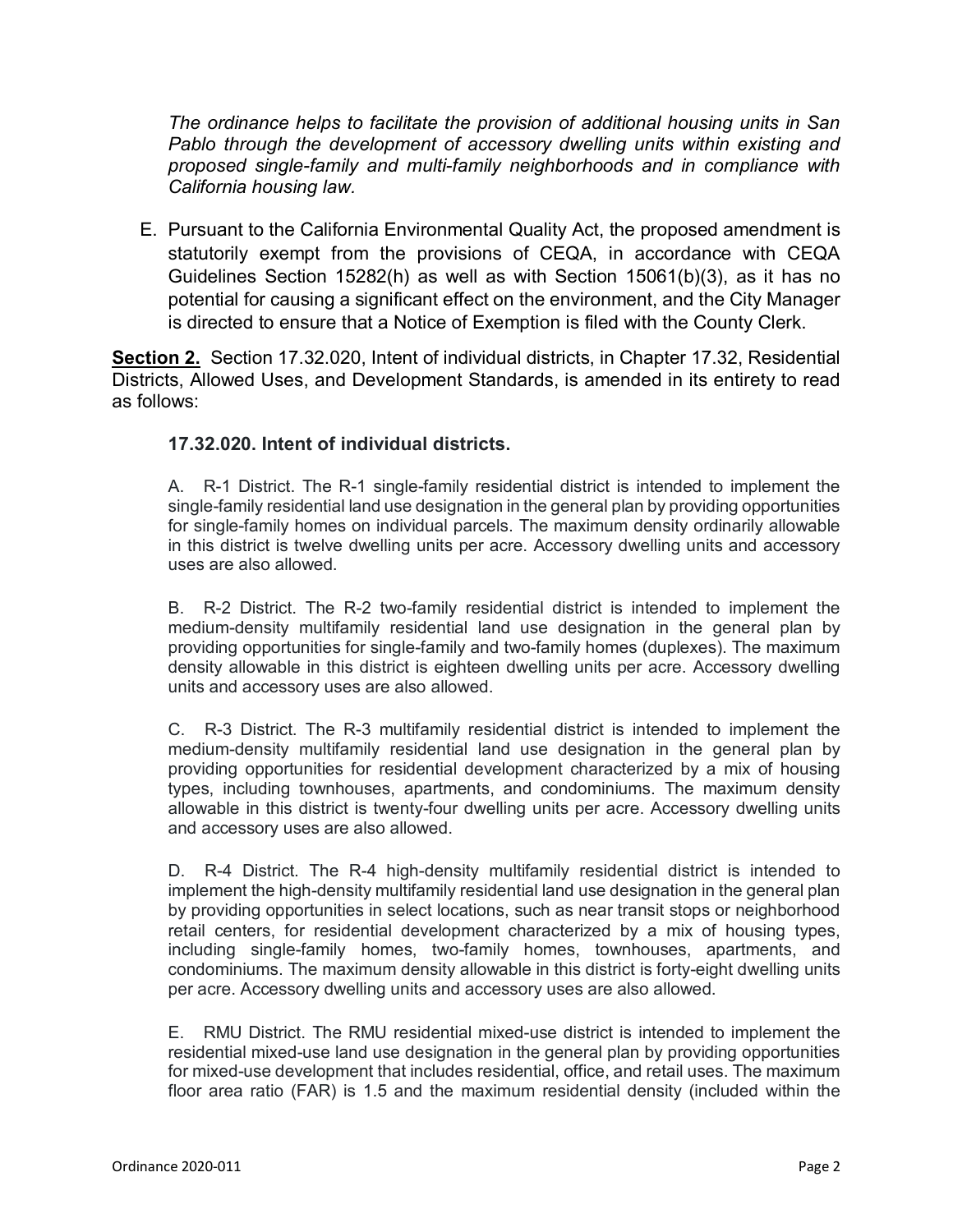*The ordinance helps to facilitate the provision of additional housing units in San Pablo through the development of accessory dwelling units within existing and proposed single-family and multi-family neighborhoods and in compliance with California housing law.*

E. Pursuant to the California Environmental Quality Act, the proposed amendment is statutorily exempt from the provisions of CEQA, in accordance with CEQA Guidelines Section 15282(h) as well as with Section 15061(b)(3), as it has no potential for causing a significant effect on the environment, and the City Manager is directed to ensure that a Notice of Exemption is filed with the County Clerk.

**Section 2.** Section 17.32.020, Intent of individual districts, in Chapter 17.32, Residential Districts, Allowed Uses, and Development Standards, is amended in its entirety to read as follows:

# **17.32.020. Intent of individual districts.**

A. R-1 District. The R-1 single-family residential district is intended to implement the single-family residential land use designation in the general plan by providing opportunities for single-family homes on individual parcels. The maximum density ordinarily allowable in this district is twelve dwelling units per acre. Accessory dwelling units and accessory uses are also allowed.

B. R-2 District. The R-2 two-family residential district is intended to implement the medium-density multifamily residential land use designation in the general plan by providing opportunities for single-family and two-family homes (duplexes). The maximum density allowable in this district is eighteen dwelling units per acre. Accessory dwelling units and accessory uses are also allowed.

C. R-3 District. The R-3 multifamily residential district is intended to implement the medium-density multifamily residential land use designation in the general plan by providing opportunities for residential development characterized by a mix of housing types, including townhouses, apartments, and condominiums. The maximum density allowable in this district is twenty-four dwelling units per acre. Accessory dwelling units and accessory uses are also allowed.

D. R-4 District. The R-4 high-density multifamily residential district is intended to implement the high-density multifamily residential land use designation in the general plan by providing opportunities in select locations, such as near transit stops or neighborhood retail centers, for residential development characterized by a mix of housing types, including single-family homes, two-family homes, townhouses, apartments, and condominiums. The maximum density allowable in this district is forty-eight dwelling units per acre. Accessory dwelling units and accessory uses are also allowed.

E. RMU District. The RMU residential mixed-use district is intended to implement the residential mixed-use land use designation in the general plan by providing opportunities for mixed-use development that includes residential, office, and retail uses. The maximum floor area ratio (FAR) is 1.5 and the maximum residential density (included within the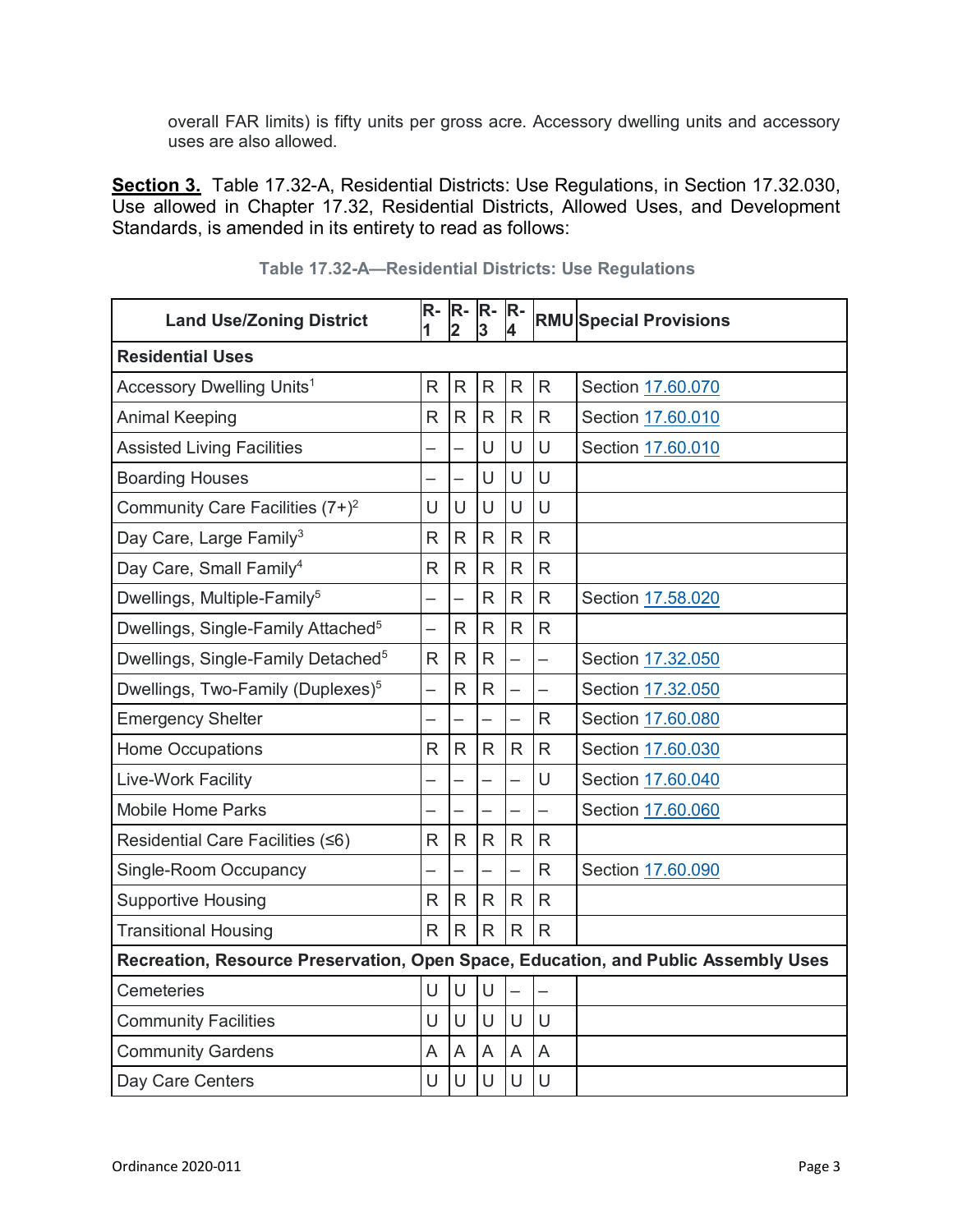overall FAR limits) is fifty units per gross acre. Accessory dwelling units and accessory uses are also allowed.

**Section 3.** Table 17.32-A, Residential Districts: Use Regulations, in Section 17.32.030, Use allowed in Chapter 17.32, Residential Districts, Allowed Uses, and Development Standards, is amended in its entirety to read as follows:

| <b>Land Use/Zoning District</b>                                                    | $R -$<br>1   | $R -$<br>$\mathbf{2}$ | R-<br>3                  | $R -$<br>4     |              | <b>RMU Special Provisions</b> |
|------------------------------------------------------------------------------------|--------------|-----------------------|--------------------------|----------------|--------------|-------------------------------|
| <b>Residential Uses</b>                                                            |              |                       |                          |                |              |                               |
| Accessory Dwelling Units <sup>1</sup>                                              | $\mathsf{R}$ | ${\sf R}$             | $\mathsf{R}$             | $\mathsf{R}$   | $\mathsf{R}$ | Section 17.60.070             |
| <b>Animal Keeping</b>                                                              | R            | $\mathsf{R}$          | $\mathsf{R}$             | $\mathsf{R}$   | R            | Section 17.60.010             |
| <b>Assisted Living Facilities</b>                                                  |              |                       | U                        | U              | U            | Section 17.60.010             |
| <b>Boarding Houses</b>                                                             |              |                       | U                        | U              | U            |                               |
| Community Care Facilities $(7+)$ <sup>2</sup>                                      | U            | U                     | U                        | U              | U            |                               |
| Day Care, Large Family <sup>3</sup>                                                | R            | R                     | $\mathsf{R}$             | $\mathsf{R}$   | R            |                               |
| Day Care, Small Family <sup>4</sup>                                                | $\mathsf{R}$ | $\mathsf{R}$          | R                        | $\mathsf{R}$   | R            |                               |
| Dwellings, Multiple-Family <sup>5</sup>                                            |              |                       | R                        | $\mathsf{R}$   | R            | Section 17.58.020             |
| Dwellings, Single-Family Attached <sup>5</sup>                                     |              | $\mathsf{R}$          | $\mathsf{R}$             | $\mathsf{R}$   | R            |                               |
| Dwellings, Single-Family Detached <sup>5</sup>                                     | $\mathsf{R}$ | $\mathsf{R}$          | R                        |                | -            | Section 17.32.050             |
| Dwellings, Two-Family (Duplexes) <sup>5</sup>                                      |              | $\mathsf{R}$          | $\mathsf{R}$             |                |              | Section 17.32.050             |
| <b>Emergency Shelter</b>                                                           |              |                       | $\overline{\phantom{0}}$ |                | R            | Section 17.60.080             |
| <b>Home Occupations</b>                                                            | $\mathsf{R}$ | $\mathsf{R}$          | R                        | $\mathsf{R}$   | R            | Section 17.60.030             |
| Live-Work Facility                                                                 |              |                       |                          |                | U            | Section 17.60.040             |
| <b>Mobile Home Parks</b>                                                           |              |                       |                          |                |              | Section 17.60.060             |
| Residential Care Facilities (≤6)                                                   | R            | $\mathsf{R}$          | R                        | $\mathsf{R}$   | $\mathsf{R}$ |                               |
| <b>Single-Room Occupancy</b>                                                       |              |                       | $\overline{\phantom{0}}$ | $\overline{a}$ | R            | Section 17.60.090             |
| <b>Supportive Housing</b>                                                          | $\mathsf{R}$ | $\mathsf{R}$          | $\mathsf{R}$             | $\mathsf{R}$   | $\mathsf{R}$ |                               |
| <b>Transitional Housing</b>                                                        | R.           | $\mathsf{R}$          | R.                       | $\mathsf{R}$   | $\mathsf{R}$ |                               |
| Recreation, Resource Preservation, Open Space, Education, and Public Assembly Uses |              |                       |                          |                |              |                               |
| Cemeteries                                                                         | U            | $\cup$                | U                        |                |              |                               |
| <b>Community Facilities</b>                                                        | U            | U                     | U                        | U              | U            |                               |
| <b>Community Gardens</b>                                                           | A            | A                     | A                        | A              | A            |                               |
| Day Care Centers                                                                   | U            | U                     | U                        | U              | U            |                               |

**Table 17.32-A—Residential Districts: Use Regulations**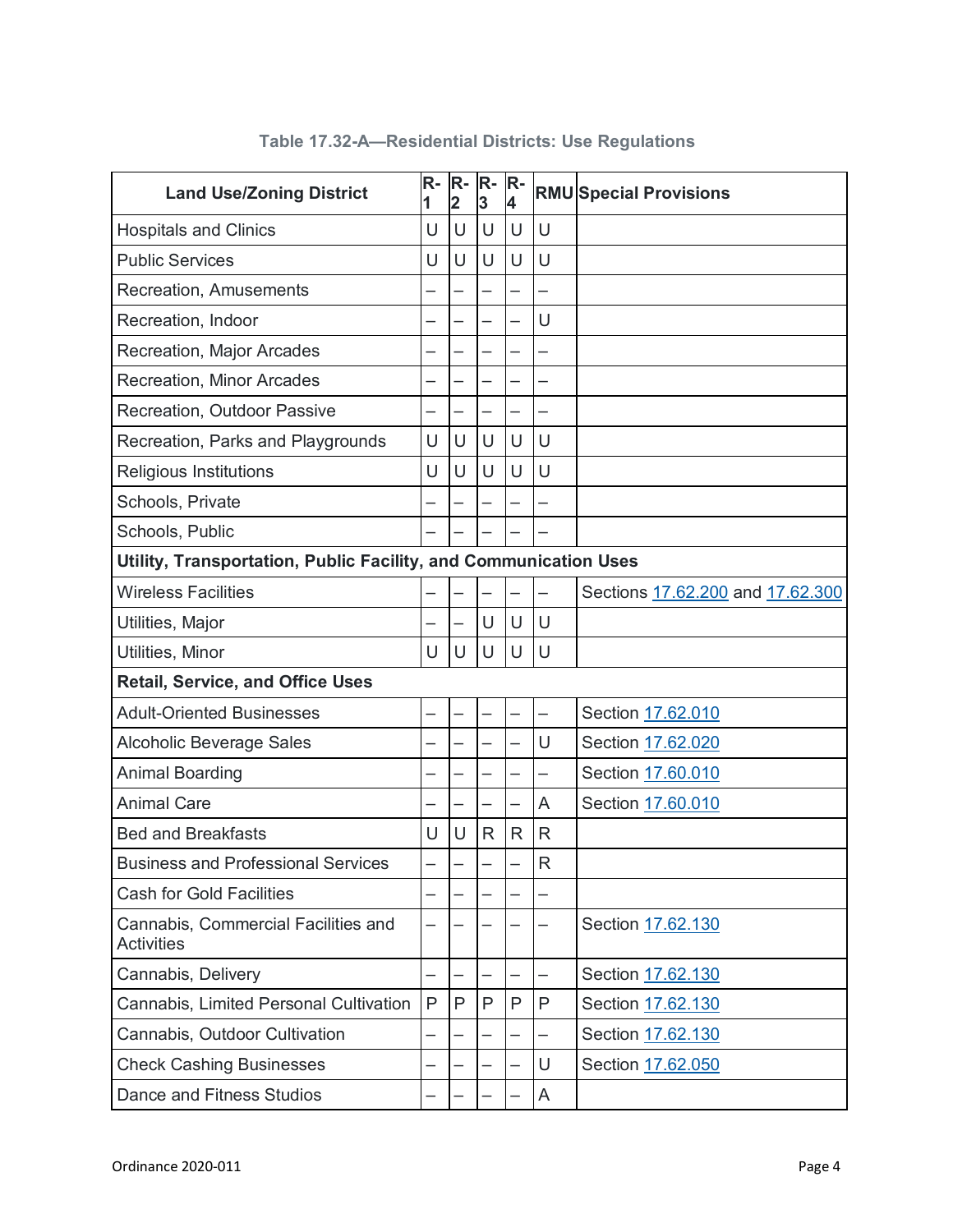| <b>Land Use/Zoning District</b>                                  | $R-$<br>1 | R-<br>$\overline{2}$ | $R -$<br>3 | $R -$<br>4   |   | <b>RMU Special Provisions</b>    |  |  |
|------------------------------------------------------------------|-----------|----------------------|------------|--------------|---|----------------------------------|--|--|
| <b>Hospitals and Clinics</b>                                     | U         | U                    | U          | U            | U |                                  |  |  |
| <b>Public Services</b>                                           | U         | U                    | U          | U            | U |                                  |  |  |
| Recreation, Amusements                                           |           |                      |            |              |   |                                  |  |  |
| Recreation, Indoor                                               |           |                      |            |              | U |                                  |  |  |
| <b>Recreation, Major Arcades</b>                                 |           |                      |            |              |   |                                  |  |  |
| <b>Recreation, Minor Arcades</b>                                 |           |                      |            |              |   |                                  |  |  |
| Recreation, Outdoor Passive                                      |           |                      |            |              |   |                                  |  |  |
| Recreation, Parks and Playgrounds                                | U         | U                    | U          | U            | U |                                  |  |  |
| <b>Religious Institutions</b>                                    | U         | U                    | U          | U            | U |                                  |  |  |
| Schools, Private                                                 |           |                      |            |              |   |                                  |  |  |
| Schools, Public                                                  |           |                      |            |              |   |                                  |  |  |
| Utility, Transportation, Public Facility, and Communication Uses |           |                      |            |              |   |                                  |  |  |
| <b>Wireless Facilities</b>                                       |           |                      |            |              |   | Sections 17.62.200 and 17.62.300 |  |  |
| Utilities, Major                                                 |           |                      | U          | U            | U |                                  |  |  |
| Utilities, Minor                                                 | U         | U                    | U          | U            | U |                                  |  |  |
| <b>Retail, Service, and Office Uses</b>                          |           |                      |            |              |   |                                  |  |  |
| <b>Adult-Oriented Businesses</b>                                 |           |                      |            |              | — | Section 17.62.010                |  |  |
| <b>Alcoholic Beverage Sales</b>                                  |           |                      |            |              | U | Section 17.62.020                |  |  |
| <b>Animal Boarding</b>                                           |           |                      |            |              |   | Section 17.60.010                |  |  |
| <b>Animal Care</b>                                               |           |                      |            |              | A | Section 17.60.010                |  |  |
| <b>Bed and Breakfasts</b>                                        | U         | U                    | R          | $\mathsf{R}$ | R |                                  |  |  |
| <b>Business and Professional Services</b>                        |           |                      |            |              | R |                                  |  |  |
| <b>Cash for Gold Facilities</b>                                  |           |                      |            |              |   |                                  |  |  |
| Cannabis, Commercial Facilities and<br><b>Activities</b>         |           |                      |            |              |   | Section 17.62.130                |  |  |
| Cannabis, Delivery                                               |           |                      |            |              |   | Section 17.62.130                |  |  |
| Cannabis, Limited Personal Cultivation                           | P         | P                    | P          | P            | Ρ | Section 17.62.130                |  |  |
| Cannabis, Outdoor Cultivation                                    |           |                      |            |              |   | Section 17.62.130                |  |  |
| <b>Check Cashing Businesses</b>                                  |           |                      |            |              | U | Section 17.62.050                |  |  |
| Dance and Fitness Studios                                        |           |                      |            |              | A |                                  |  |  |

# **Table 17.32-A—Residential Districts: Use Regulations**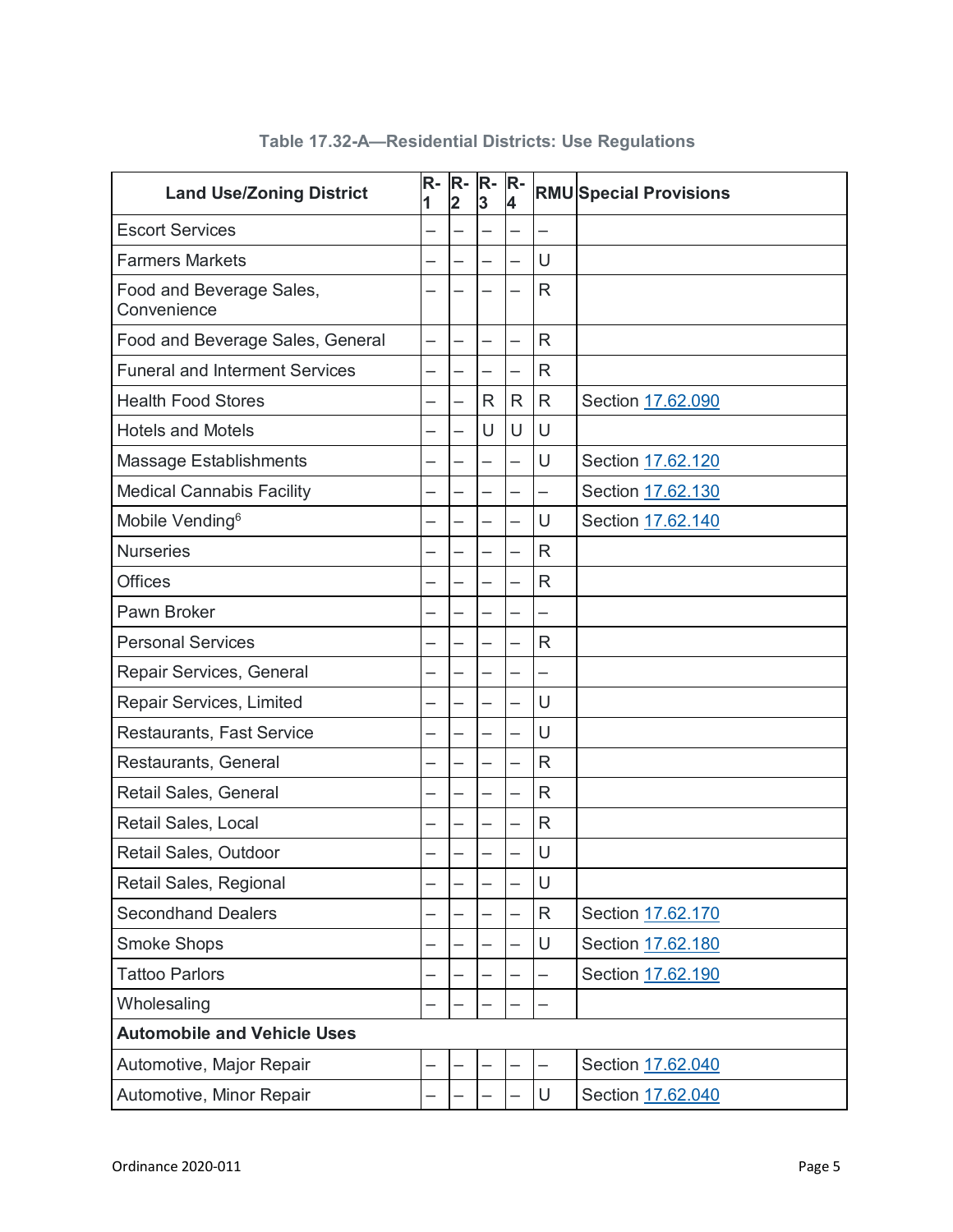| <b>Land Use/Zoning District</b>         | R-<br>1 | R-<br>$\overline{2}$ | $R -$<br>3   | $R -$<br>4 |                          | <b>RMU Special Provisions</b> |
|-----------------------------------------|---------|----------------------|--------------|------------|--------------------------|-------------------------------|
| <b>Escort Services</b>                  |         |                      |              |            | $\overline{\phantom{0}}$ |                               |
| <b>Farmers Markets</b>                  |         |                      |              |            | U                        |                               |
| Food and Beverage Sales,<br>Convenience |         |                      |              |            | R                        |                               |
| Food and Beverage Sales, General        | —       |                      |              | -          | $\mathsf{R}$             |                               |
| <b>Funeral and Interment Services</b>   |         |                      | —            | —          | $\mathsf{R}$             |                               |
| <b>Health Food Stores</b>               |         |                      | $\mathsf{R}$ | R          | $\mathsf{R}$             | Section 17.62.090             |
| <b>Hotels and Motels</b>                |         |                      | U            | $\cup$     | U                        |                               |
| <b>Massage Establishments</b>           |         |                      |              | -          | U                        | Section 17.62.120             |
| <b>Medical Cannabis Facility</b>        |         |                      |              |            | —                        | Section 17.62.130             |
| Mobile Vending <sup>6</sup>             |         |                      |              |            | U                        | Section 17.62.140             |
| <b>Nurseries</b>                        |         |                      |              |            | $\mathsf{R}$             |                               |
| <b>Offices</b>                          |         |                      |              |            | $\mathsf{R}$             |                               |
| Pawn Broker                             |         |                      |              |            | —                        |                               |
| <b>Personal Services</b>                |         |                      |              |            | $\mathsf{R}$             |                               |
| Repair Services, General                |         |                      |              |            |                          |                               |
| Repair Services, Limited                |         |                      |              |            | U                        |                               |
| <b>Restaurants, Fast Service</b>        |         |                      |              | —          | U                        |                               |
| Restaurants, General                    |         |                      |              |            | $\mathsf{R}$             |                               |
| Retail Sales, General                   |         |                      |              |            | $\mathsf{R}$             |                               |
| Retail Sales, Local                     |         |                      |              |            | $\mathsf{R}$             |                               |
| Retail Sales, Outdoor                   |         |                      |              |            | U                        |                               |
| Retail Sales, Regional                  |         |                      |              |            | U                        |                               |
| <b>Secondhand Dealers</b>               |         |                      |              |            | R                        | Section 17.62.170             |
| <b>Smoke Shops</b>                      |         |                      |              |            | U                        | Section 17.62.180             |
| <b>Tattoo Parlors</b>                   |         |                      |              |            |                          | Section 17.62.190             |
| Wholesaling                             |         |                      |              |            |                          |                               |
| <b>Automobile and Vehicle Uses</b>      |         |                      |              |            |                          |                               |
| Automotive, Major Repair                |         |                      |              |            |                          | Section 17.62.040             |
| Automotive, Minor Repair                |         |                      |              |            | U                        | Section 17.62.040             |

# **Table 17.32-A—Residential Districts: Use Regulations**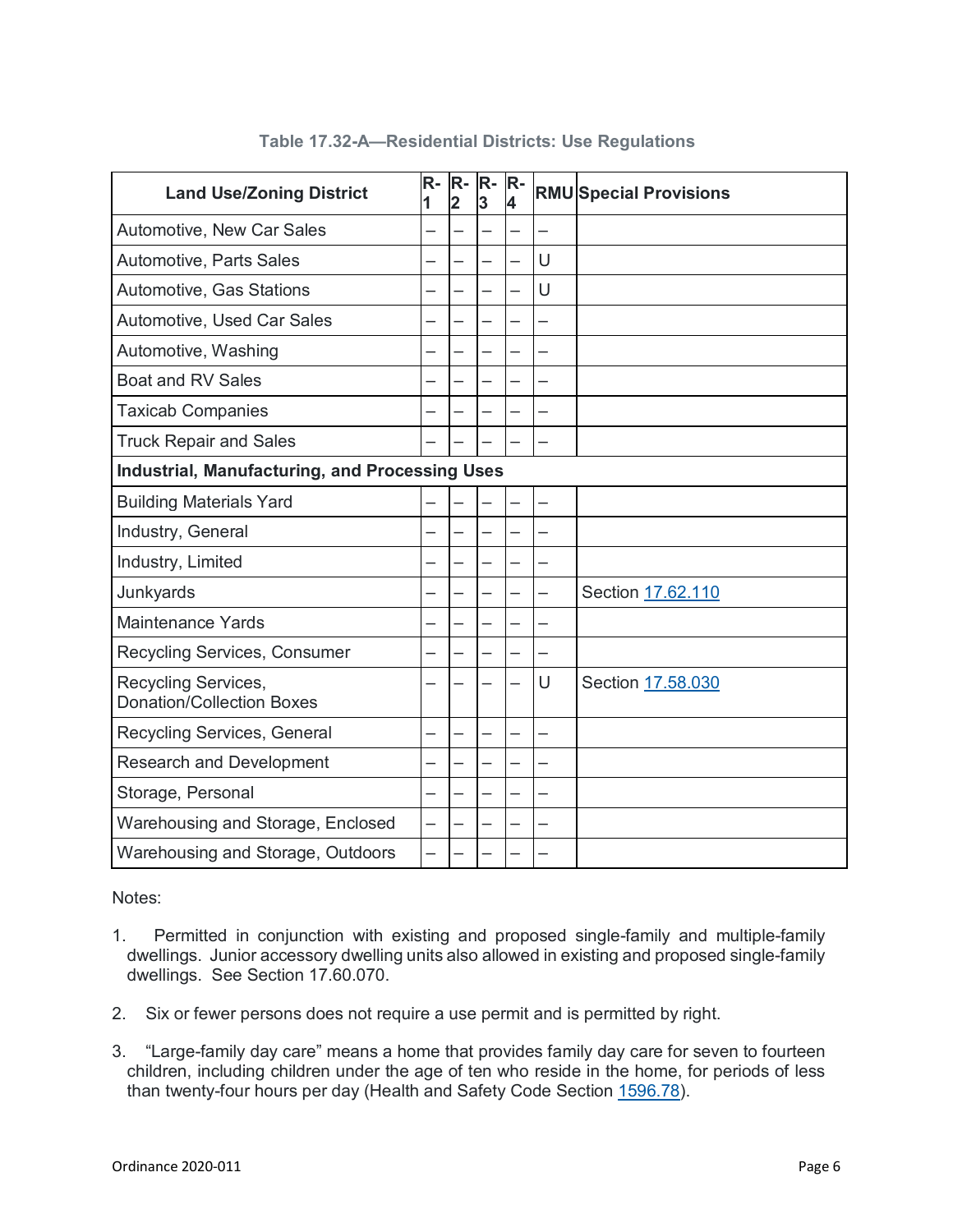| <b>Land Use/Zoning District</b>                         | $R-$<br>1 | $R-$<br>$\overline{2}$ | R-<br>3 | $R -$<br>4 |        | <b>RMU Special Provisions</b> |  |  |
|---------------------------------------------------------|-----------|------------------------|---------|------------|--------|-------------------------------|--|--|
| Automotive, New Car Sales                               |           |                        |         |            | —<br>— |                               |  |  |
| Automotive, Parts Sales                                 |           |                        |         |            | U      |                               |  |  |
| Automotive, Gas Stations                                |           |                        |         |            | U      |                               |  |  |
| Automotive, Used Car Sales                              |           |                        |         |            | —      |                               |  |  |
| Automotive, Washing                                     |           |                        | —<br>—  |            |        |                               |  |  |
| <b>Boat and RV Sales</b>                                |           |                        |         |            |        |                               |  |  |
| <b>Taxicab Companies</b>                                |           |                        |         |            |        |                               |  |  |
| <b>Truck Repair and Sales</b>                           |           |                        |         |            |        |                               |  |  |
| <b>Industrial, Manufacturing, and Processing Uses</b>   |           |                        |         |            |        |                               |  |  |
| <b>Building Materials Yard</b>                          |           |                        |         |            |        |                               |  |  |
| Industry, General                                       |           |                        |         |            |        |                               |  |  |
| Industry, Limited                                       |           |                        |         |            |        |                               |  |  |
| Junkyards                                               |           |                        |         |            | -      | Section 17.62.110             |  |  |
| <b>Maintenance Yards</b>                                |           |                        |         |            |        |                               |  |  |
| Recycling Services, Consumer                            |           |                        |         |            |        |                               |  |  |
| Recycling Services,<br><b>Donation/Collection Boxes</b> |           |                        |         |            | U      | Section 17.58.030             |  |  |
| Recycling Services, General                             |           |                        | —<br>—  |            | —      |                               |  |  |
| <b>Research and Development</b>                         |           |                        |         |            |        |                               |  |  |
| Storage, Personal                                       |           |                        |         |            |        |                               |  |  |
| Warehousing and Storage, Enclosed                       |           |                        |         |            |        |                               |  |  |
| Warehousing and Storage, Outdoors                       | —         |                        |         |            |        |                               |  |  |

# **Table 17.32-A—Residential Districts: Use Regulations**

Notes:

- 1. Permitted in conjunction with existing and proposed single-family and multiple-family dwellings. Junior accessory dwelling units also allowed in existing and proposed single-family dwellings. See Section 17.60.070.
- 2. Six or fewer persons does not require a use permit and is permitted by right.
- 3. "Large-family day care" means a home that provides family day care for seven to fourteen children, including children under the age of ten who reside in the home, for periods of less than twenty-four hours per day (Health and Safety Code Section [1596.78\)](http://leginfo.legislature.ca.gov/faces/codes_displaySection.xhtml?lawCode=HSC§ionNum=1596.78).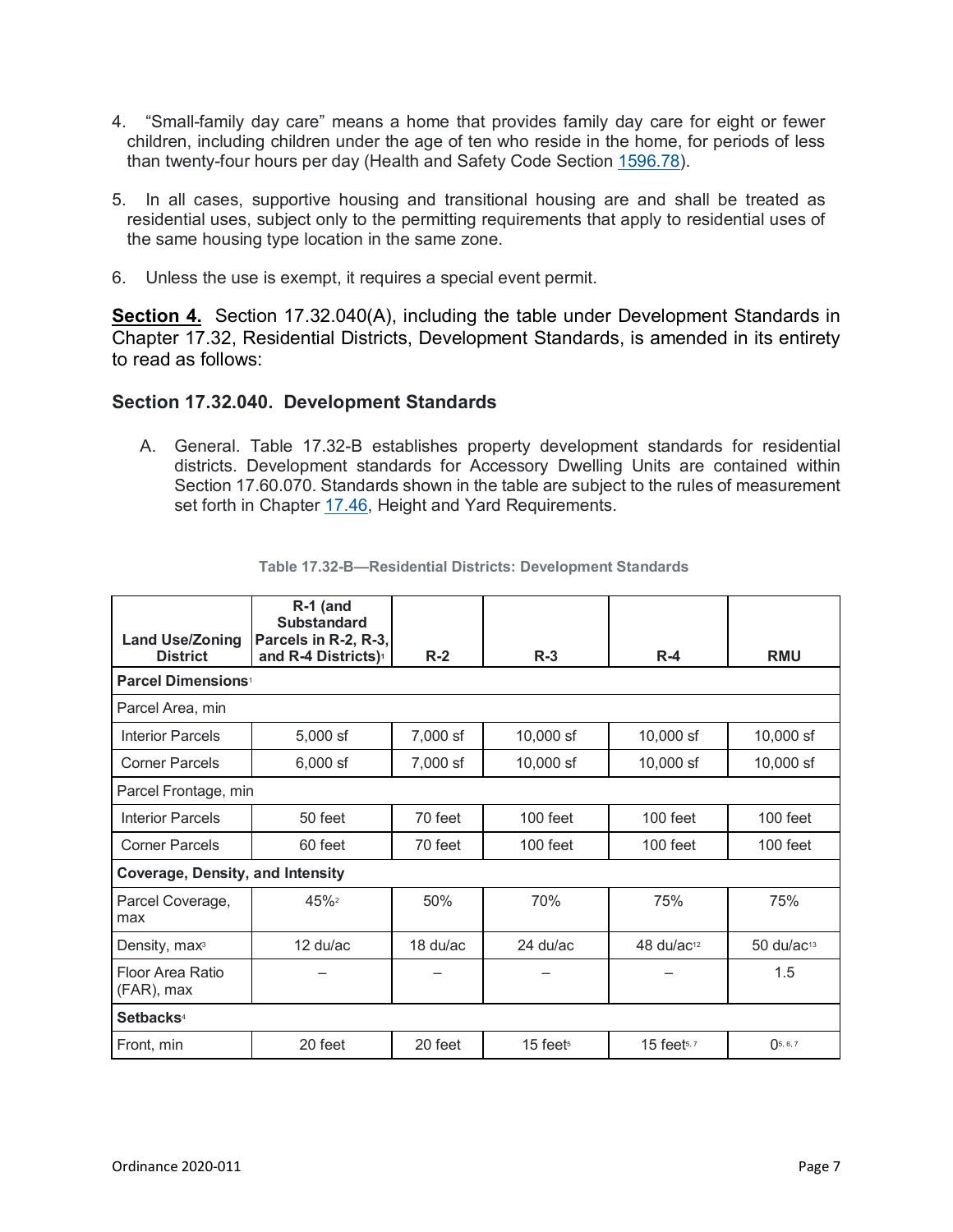- 4. "Small-family day care" means a home that provides family day care for eight or fewer children, including children under the age of ten who reside in the home, for periods of less than twenty-four hours per day (Health and Safety Code Section [1596.78\)](http://leginfo.legislature.ca.gov/faces/codes_displaySection.xhtml?lawCode=HSC§ionNum=1596.78).
- 5. In all cases, supportive housing and transitional housing are and shall be treated as residential uses, subject only to the permitting requirements that apply to residential uses of the same housing type location in the same zone.
- 6. Unless the use is exempt, it requires a special event permit.

**Section 4.** Section 17.32.040(A), including the table under Development Standards in Chapter 17.32, Residential Districts, Development Standards, is amended in its entirety to read as follows:

## **Section 17.32.040. Development Standards**

A. General. Table 17.32-B establishes property development standards for residential districts. Development standards for Accessory Dwelling Units are contained within Section 17.60.070. Standards shown in the table are subject to the rules of measurement set forth in Chapter [17.46,](https://www.codepublishing.com/CA/SanPablo/#!/SanPablo17/SanPablo1746.html#17.46) Height and Yard Requirements.

| <b>Land Use/Zoning</b>                  | R-1 (and<br><b>Substandard</b><br>Parcels in R-2, R-3, |          |             |                                |                          |  |  |  |
|-----------------------------------------|--------------------------------------------------------|----------|-------------|--------------------------------|--------------------------|--|--|--|
| <b>District</b>                         | and R-4 Districts) <sup>1</sup>                        | $R-2$    | $R-3$       | $R-4$                          | <b>RMU</b>               |  |  |  |
| <b>Parcel Dimensions<sup>1</sup></b>    |                                                        |          |             |                                |                          |  |  |  |
| Parcel Area, min                        |                                                        |          |             |                                |                          |  |  |  |
| <b>Interior Parcels</b>                 | $5,000$ sf                                             | 7,000 sf | 10,000 sf   | 10,000 sf                      | 10,000 sf                |  |  |  |
| <b>Corner Parcels</b>                   | $6,000$ sf                                             | 7,000 sf | $10,000$ sf | $10,000$ sf                    | 10,000 sf                |  |  |  |
| Parcel Frontage, min                    |                                                        |          |             |                                |                          |  |  |  |
| <b>Interior Parcels</b>                 | 50 feet                                                | 70 feet  | $100$ feet  | 100 feet                       | $100$ feet               |  |  |  |
| <b>Corner Parcels</b>                   | 60 feet                                                | 70 feet  | $100$ feet  | $100$ feet                     | $100$ feet               |  |  |  |
| <b>Coverage, Density, and Intensity</b> |                                                        |          |             |                                |                          |  |  |  |
| Parcel Coverage,<br>max                 | 45%2                                                   | 50%      | 70%         | 75%                            | 75%                      |  |  |  |
| Density, max <sup>3</sup>               | $12 \frac{\text{du}}{\text{ac}}$                       | 18 du/ac | 24 du/ac    | $48 \frac{\text{d}}{\text{d}}$ | $50$ du/ac <sup>13</sup> |  |  |  |
| Floor Area Ratio<br>(FAR), max          |                                                        |          |             |                                | 1.5                      |  |  |  |
| Setbacks <sup>4</sup>                   |                                                        |          |             |                                |                          |  |  |  |
| Front, min                              | 20 feet                                                | 20 feet  | $15$ feets  | $15$ feets, $7$                | $()$ 5, 6, 7             |  |  |  |

#### **Table 17.32-B—Residential Districts: Development Standards**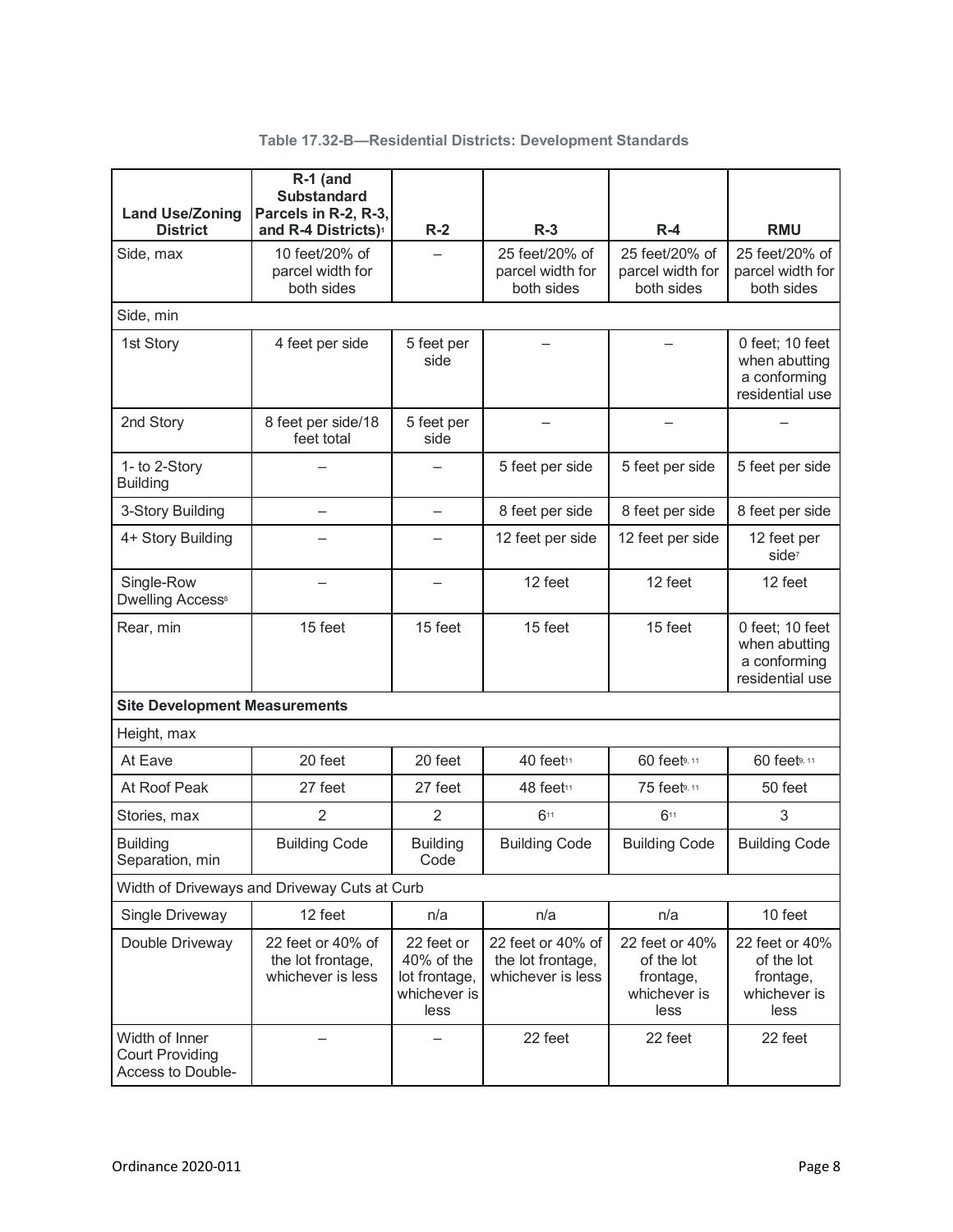| Table 17.32-B-Residential Districts: Development Standards |  |  |
|------------------------------------------------------------|--|--|
|                                                            |  |  |

| <b>Land Use/Zoning</b>                                        | R-1 (and<br><b>Substandard</b><br>Parcels in R-2, R-3,                              |                                                                   |                                                             |                                                                   |                                                                     |
|---------------------------------------------------------------|-------------------------------------------------------------------------------------|-------------------------------------------------------------------|-------------------------------------------------------------|-------------------------------------------------------------------|---------------------------------------------------------------------|
| <b>District</b><br>Side, max                                  | and R-4 Districts) <sup>1</sup><br>10 feet/20% of<br>parcel width for<br>both sides | $R-2$                                                             | $R-3$<br>25 feet/20% of<br>parcel width for<br>both sides   | $R-4$<br>25 feet/20% of<br>parcel width for<br>both sides         | <b>RMU</b><br>25 feet/20% of<br>parcel width for<br>both sides      |
| Side, min                                                     |                                                                                     |                                                                   |                                                             |                                                                   |                                                                     |
| 1st Story                                                     | 4 feet per side                                                                     | 5 feet per<br>side                                                |                                                             |                                                                   | 0 feet; 10 feet<br>when abutting<br>a conforming<br>residential use |
| 2nd Story                                                     | 8 feet per side/18<br>feet total                                                    | 5 feet per<br>side                                                |                                                             |                                                                   |                                                                     |
| 1- to 2-Story<br><b>Building</b>                              |                                                                                     |                                                                   | 5 feet per side                                             | 5 feet per side                                                   | 5 feet per side                                                     |
| 3-Story Building                                              |                                                                                     |                                                                   | 8 feet per side                                             | 8 feet per side                                                   | 8 feet per side                                                     |
| 4+ Story Building                                             |                                                                                     |                                                                   | 12 feet per side                                            | 12 feet per side                                                  | 12 feet per<br>side <sup>7</sup>                                    |
| Single-Row<br><b>Dwelling Access®</b>                         |                                                                                     |                                                                   | 12 feet                                                     | 12 feet                                                           | 12 feet                                                             |
| Rear, min                                                     | 15 feet                                                                             | 15 feet                                                           | 15 feet                                                     | 15 feet                                                           | 0 feet; 10 feet<br>when abutting<br>a conforming<br>residential use |
| <b>Site Development Measurements</b>                          |                                                                                     |                                                                   |                                                             |                                                                   |                                                                     |
| Height, max                                                   |                                                                                     |                                                                   |                                                             |                                                                   |                                                                     |
| At Eave                                                       | 20 feet                                                                             | 20 feet                                                           | 40 feet11                                                   | 60 feet <sup>9, 11</sup>                                          | 60 feet <sup>9, 11</sup>                                            |
| At Roof Peak                                                  | 27 feet                                                                             | 27 feet                                                           | 48 feet11                                                   | 75 feet <sup>9, 11</sup>                                          | 50 feet                                                             |
| Stories, max                                                  | $\overline{2}$                                                                      | $\overline{2}$                                                    | 611                                                         | 611                                                               | 3                                                                   |
| <b>Building</b><br>Separation, min                            | <b>Building Code</b>                                                                | <b>Building</b><br>Code                                           | <b>Building Code</b>                                        | <b>Building Code</b>                                              | <b>Building Code</b>                                                |
|                                                               | Width of Driveways and Driveway Cuts at Curb                                        |                                                                   |                                                             |                                                                   |                                                                     |
| Single Driveway                                               | 12 feet                                                                             | n/a                                                               | n/a                                                         | n/a                                                               | 10 feet                                                             |
| Double Driveway                                               | 22 feet or 40% of<br>the lot frontage,<br>whichever is less                         | 22 feet or<br>40% of the<br>lot frontage,<br>whichever is<br>less | 22 feet or 40% of<br>the lot frontage,<br>whichever is less | 22 feet or 40%<br>of the lot<br>frontage,<br>whichever is<br>less | 22 feet or 40%<br>of the lot<br>frontage,<br>whichever is<br>less   |
| Width of Inner<br><b>Court Providing</b><br>Access to Double- |                                                                                     |                                                                   | 22 feet                                                     | 22 feet                                                           | 22 feet                                                             |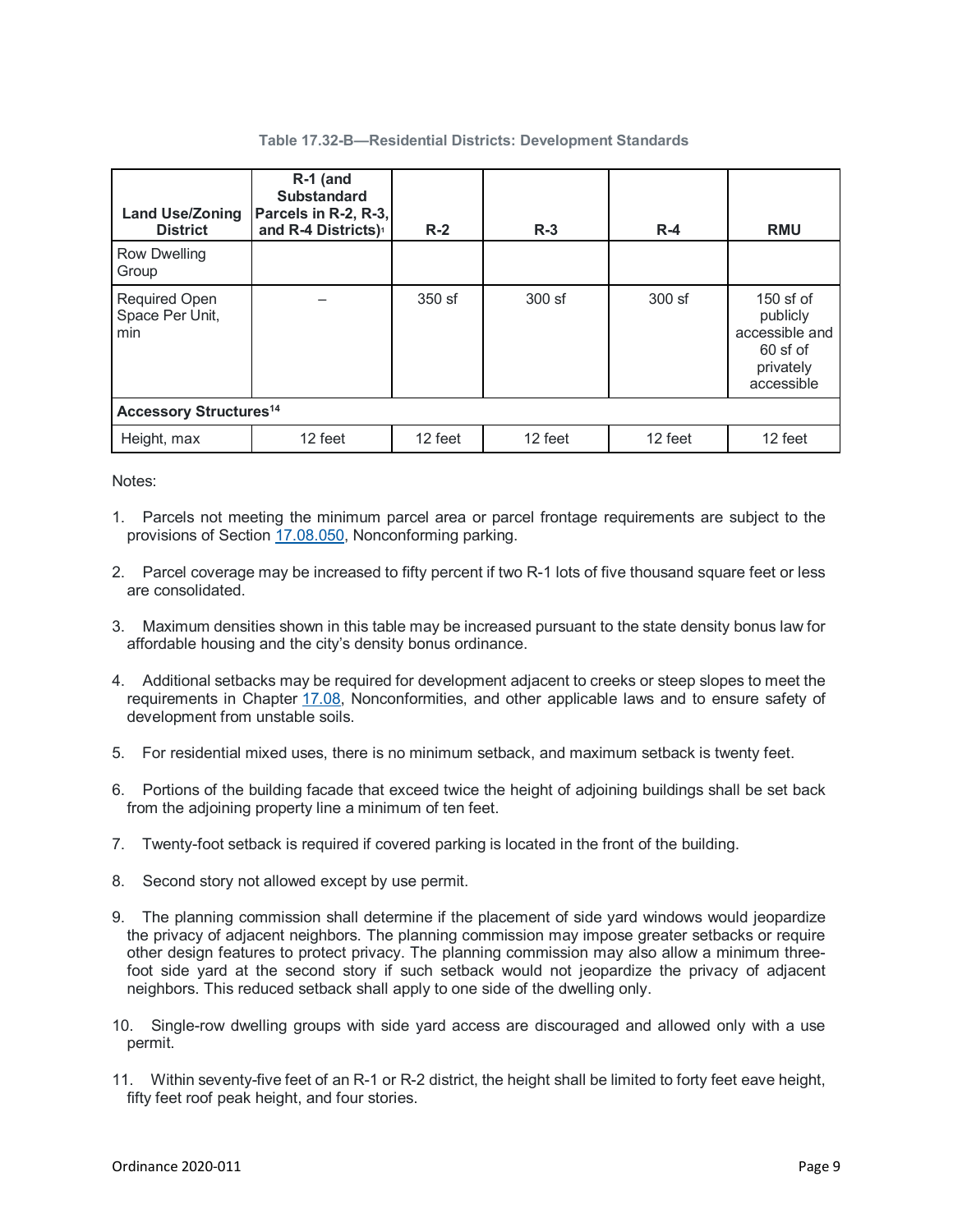| <b>Land Use/Zoning</b><br><b>District</b>      | $R-1$ (and<br><b>Substandard</b><br>Parcels in R-2, R-3,<br>and R-4 Districts) <sup>1</sup> | $R-2$    | $R-3$    | $R-4$    | <b>RMU</b>                                                                         |  |  |  |
|------------------------------------------------|---------------------------------------------------------------------------------------------|----------|----------|----------|------------------------------------------------------------------------------------|--|--|--|
| Row Dwelling<br>Group                          |                                                                                             |          |          |          |                                                                                    |  |  |  |
| <b>Required Open</b><br>Space Per Unit,<br>min |                                                                                             | $350$ sf | $300$ sf | $300$ sf | $150$ sf of<br>publicly<br>accessible and<br>$60$ sf of<br>privately<br>accessible |  |  |  |
| <b>Accessory Structures<sup>14</sup></b>       |                                                                                             |          |          |          |                                                                                    |  |  |  |
| Height, max                                    | 12 feet                                                                                     | 12 feet  | 12 feet  | 12 feet  | 12 feet                                                                            |  |  |  |

Notes:

- 1. Parcels not meeting the minimum parcel area or parcel frontage requirements are subject to the provisions of Section [17.08.050,](https://www.codepublishing.com/CA/SanPablo/#!/SanPablo17/SanPablo1708.html#17.08.050) Nonconforming parking.
- 2. Parcel coverage may be increased to fifty percent if two R-1 lots of five thousand square feet or less are consolidated.
- 3. Maximum densities shown in this table may be increased pursuant to the state density bonus law for affordable housing and the city's density bonus ordinance.
- 4. Additional setbacks may be required for development adjacent to creeks or steep slopes to meet the requirements in Chapter [17.08,](https://www.codepublishing.com/CA/SanPablo/#!/SanPablo17/SanPablo1708.html#17.08) Nonconformities, and other applicable laws and to ensure safety of development from unstable soils.
- 5. For residential mixed uses, there is no minimum setback, and maximum setback is twenty feet.
- 6. Portions of the building facade that exceed twice the height of adjoining buildings shall be set back from the adjoining property line a minimum of ten feet.
- 7. Twenty-foot setback is required if covered parking is located in the front of the building.
- 8. Second story not allowed except by use permit.
- 9. The planning commission shall determine if the placement of side yard windows would jeopardize the privacy of adjacent neighbors. The planning commission may impose greater setbacks or require other design features to protect privacy. The planning commission may also allow a minimum threefoot side yard at the second story if such setback would not jeopardize the privacy of adjacent neighbors. This reduced setback shall apply to one side of the dwelling only.
- 10. Single-row dwelling groups with side yard access are discouraged and allowed only with a use permit.
- 11. Within seventy-five feet of an R-1 or R-2 district, the height shall be limited to forty feet eave height, fifty feet roof peak height, and four stories.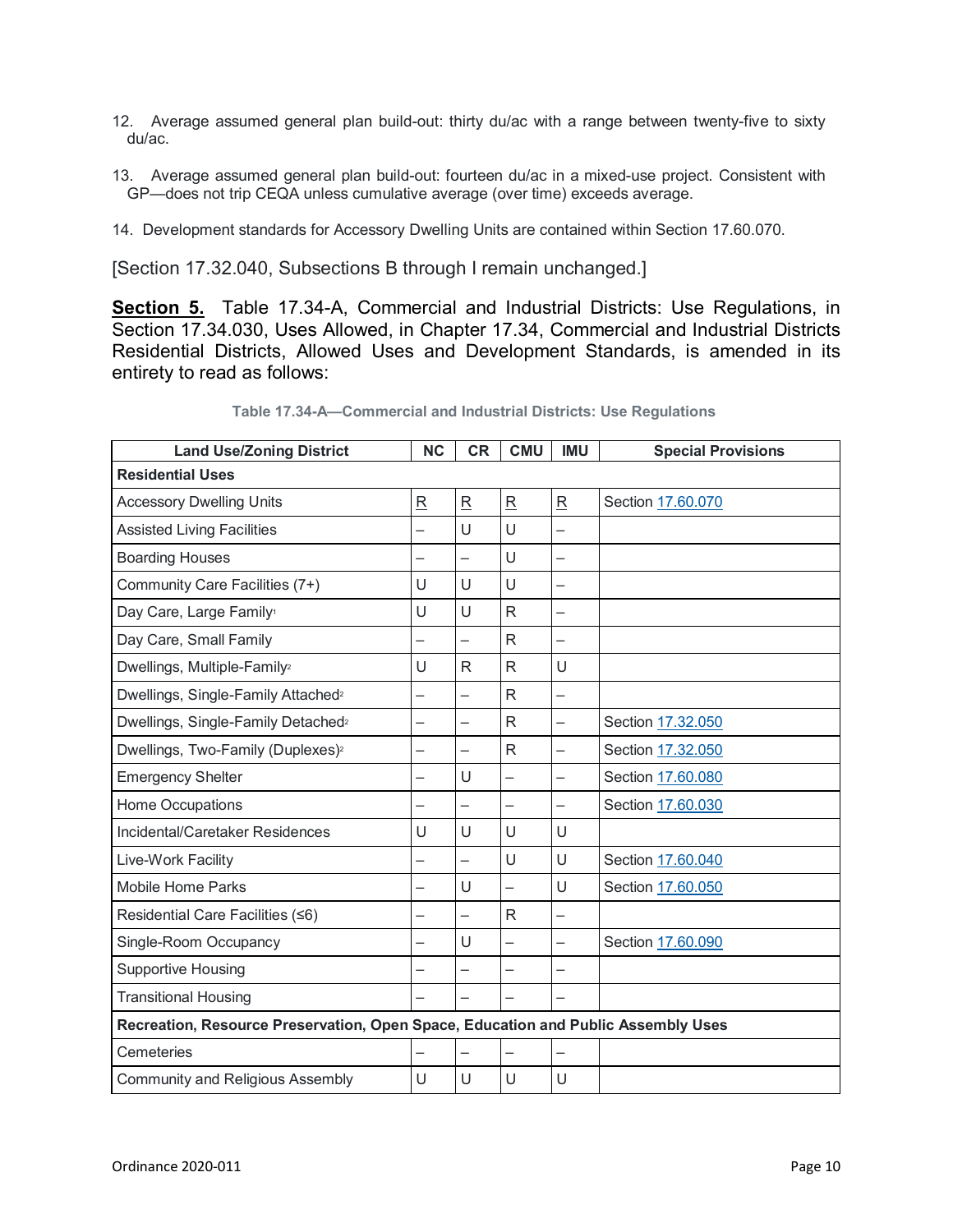- 12. Average assumed general plan build-out: thirty du/ac with a range between twenty-five to sixty du/ac.
- 13. Average assumed general plan build-out: fourteen du/ac in a mixed-use project. Consistent with GP—does not trip CEQA unless cumulative average (over time) exceeds average.
- 14. Development standards for Accessory Dwelling Units are contained within Section 17.60.070.

[Section 17.32.040, Subsections B through I remain unchanged.]

**Section 5.** Table 17.34-A, Commercial and Industrial Districts: Use Regulations, in Section 17.34.030, Uses Allowed, in Chapter 17.34, Commercial and Industrial Districts Residential Districts, Allowed Uses and Development Standards, is amended in its entirety to read as follows:

| <b>Land Use/Zoning District</b>                                                   | <b>NC</b>                | <b>CR</b>                | <b>CMU</b>               | <b>IMU</b>               | <b>Special Provisions</b> |  |  |  |
|-----------------------------------------------------------------------------------|--------------------------|--------------------------|--------------------------|--------------------------|---------------------------|--|--|--|
| <b>Residential Uses</b>                                                           |                          |                          |                          |                          |                           |  |  |  |
| <b>Accessory Dwelling Units</b>                                                   | $\overline{\mathsf{R}}$  | $\overline{\mathsf{R}}$  | $\overline{R}$           | $\mathsf R$              | Section 17.60.070         |  |  |  |
| <b>Assisted Living Facilities</b>                                                 |                          | U                        | U                        |                          |                           |  |  |  |
| <b>Boarding Houses</b>                                                            |                          | -                        | U                        |                          |                           |  |  |  |
| Community Care Facilities (7+)                                                    | U                        | U                        | U                        |                          |                           |  |  |  |
| Day Care, Large Family <sup>1</sup>                                               | U                        | U                        | $\overline{R}$           | $\overline{\phantom{0}}$ |                           |  |  |  |
| Day Care, Small Family                                                            | $\overline{\phantom{0}}$ | $\overline{\phantom{0}}$ | $\mathsf{R}$             | $\overline{\phantom{0}}$ |                           |  |  |  |
| Dwellings, Multiple-Family <sup>2</sup>                                           | U                        | R                        | R                        | U                        |                           |  |  |  |
| Dwellings, Single-Family Attached <sup>2</sup>                                    | -                        | $\overline{\phantom{0}}$ | R                        |                          |                           |  |  |  |
| Dwellings, Single-Family Detached <sup>2</sup>                                    | -                        | $\overline{\phantom{0}}$ | $\mathsf{R}$             | $\overline{\phantom{0}}$ | Section 17.32.050         |  |  |  |
| Dwellings, Two-Family (Duplexes) <sup>2</sup>                                     | $\overline{\phantom{0}}$ | $\overline{\phantom{0}}$ | $\mathsf{R}$             | $\overline{\phantom{0}}$ | Section 17.32.050         |  |  |  |
| <b>Emergency Shelter</b>                                                          |                          | U                        | $\equiv$                 |                          | Section 17.60.080         |  |  |  |
| <b>Home Occupations</b>                                                           |                          |                          |                          |                          | Section 17.60.030         |  |  |  |
| Incidental/Caretaker Residences                                                   | U                        | U                        | U                        | U                        |                           |  |  |  |
| Live-Work Facility                                                                |                          | $\overline{\phantom{0}}$ | U                        | U                        | Section 17.60.040         |  |  |  |
| <b>Mobile Home Parks</b>                                                          |                          | U                        | $\equiv$                 | U                        | Section 17.60.050         |  |  |  |
| Residential Care Facilities (≤6)                                                  | -                        | $\overline{\phantom{0}}$ | $\mathsf{R}$             | $\overline{\phantom{0}}$ |                           |  |  |  |
| Single-Room Occupancy                                                             |                          | U                        | $\overline{\phantom{0}}$ |                          | Section 17.60.090         |  |  |  |
| <b>Supportive Housing</b>                                                         | -                        | $\overline{\phantom{0}}$ | $\overline{\phantom{0}}$ | —                        |                           |  |  |  |
| <b>Transitional Housing</b>                                                       |                          |                          |                          |                          |                           |  |  |  |
| Recreation, Resource Preservation, Open Space, Education and Public Assembly Uses |                          |                          |                          |                          |                           |  |  |  |
| Cemeteries                                                                        |                          |                          |                          |                          |                           |  |  |  |
| Community and Religious Assembly                                                  | U                        | U                        | U                        | U                        |                           |  |  |  |

**Table 17.34-A—Commercial and Industrial Districts: Use Regulations**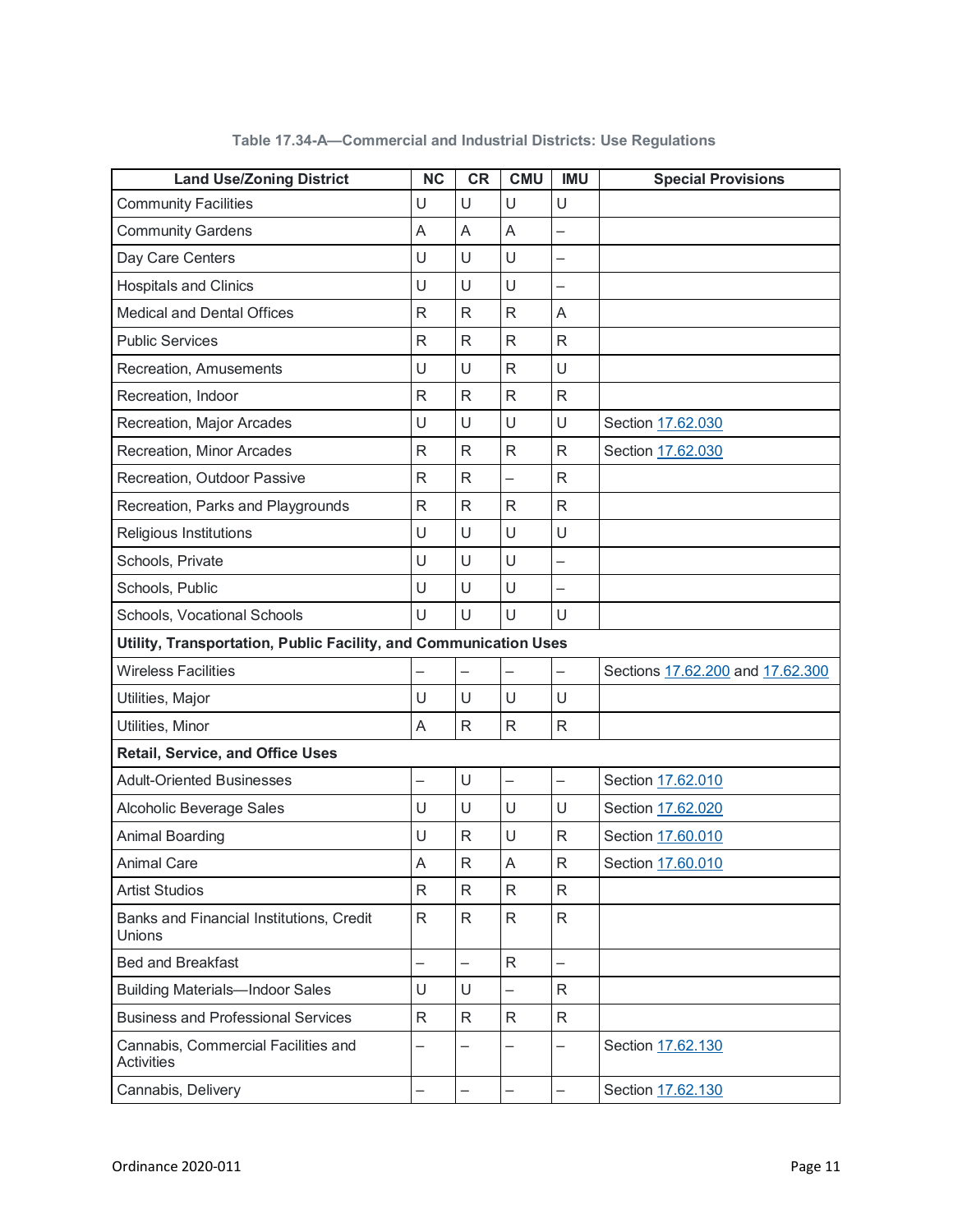| <b>Land Use/Zoning District</b>                                  | <b>NC</b>                | <b>CR</b>                | <b>CMU</b>               | <b>IMU</b>               | <b>Special Provisions</b>        |
|------------------------------------------------------------------|--------------------------|--------------------------|--------------------------|--------------------------|----------------------------------|
| <b>Community Facilities</b>                                      | U                        | U                        | U                        | U                        |                                  |
| <b>Community Gardens</b>                                         | A                        | A                        | A                        | -                        |                                  |
| Day Care Centers                                                 | U                        | U                        | U                        | —                        |                                  |
| <b>Hospitals and Clinics</b>                                     | U                        | U                        | U                        | —                        |                                  |
| <b>Medical and Dental Offices</b>                                | $\mathsf{R}$             | $\mathsf{R}$             | $\mathsf{R}$             | A                        |                                  |
| <b>Public Services</b>                                           | R                        | $\mathsf{R}$             | $\mathsf{R}$             | $\mathsf R$              |                                  |
| Recreation, Amusements                                           | U                        | U                        | $\mathsf{R}$             | U                        |                                  |
| Recreation, Indoor                                               | $\mathsf{R}$             | $\mathsf{R}$             | $\mathsf{R}$             | $\mathsf{R}$             |                                  |
| Recreation, Major Arcades                                        | U                        | U                        | U                        | U                        | Section 17.62.030                |
| Recreation, Minor Arcades                                        | $\mathsf{R}$             | $\mathsf{R}$             | $\mathsf{R}$             | $\mathsf{R}$             | Section 17.62.030                |
| Recreation, Outdoor Passive                                      | R                        | $\mathsf{R}$             | $\equiv$                 | R                        |                                  |
| Recreation, Parks and Playgrounds                                | R                        | $\mathsf{R}$             | $\mathsf{R}$             | $\mathsf{R}$             |                                  |
| Religious Institutions                                           | U                        | U                        | U                        | U                        |                                  |
| Schools, Private                                                 | U                        | U                        | U                        | $\overline{\phantom{0}}$ |                                  |
| Schools, Public                                                  | U                        | U                        | U                        | $\overline{\phantom{0}}$ |                                  |
| Schools, Vocational Schools                                      | U                        | U                        | U                        | U                        |                                  |
| Utility, Transportation, Public Facility, and Communication Uses |                          |                          |                          |                          |                                  |
| <b>Wireless Facilities</b>                                       |                          | $\overline{\phantom{0}}$ | $\overline{\phantom{0}}$ | —                        | Sections 17.62.200 and 17.62.300 |
| Utilities, Major                                                 | U                        | U                        | U                        | U                        |                                  |
| Utilities, Minor                                                 | A                        | $\mathsf R$              | $\mathsf R$              | ${\sf R}$                |                                  |
| <b>Retail, Service, and Office Uses</b>                          |                          |                          |                          |                          |                                  |
| <b>Adult-Oriented Businesses</b>                                 | —                        | U                        | $\overline{\phantom{0}}$ | —                        | Section 17.62.010                |
| Alcoholic Beverage Sales                                         | U                        | U                        | U                        | U                        | Section 17.62.020                |
| Animal Boarding                                                  | U                        | $\mathsf{R}$             | U                        | R                        | Section 17.60.010                |
| <b>Animal Care</b>                                               | A                        | $\mathsf{R}$             | $\mathsf A$              | $\mathsf{R}$             | Section 17.60.010                |
| <b>Artist Studios</b>                                            | R                        | $\mathsf{R}$             | $\mathsf R$              | $\mathsf{R}$             |                                  |
| Banks and Financial Institutions, Credit<br><b>Unions</b>        | $\mathsf{R}$             | $\mathsf{R}$             | $\mathsf{R}$             | $\mathsf{R}$             |                                  |
| <b>Bed and Breakfast</b>                                         | $\overline{\phantom{0}}$ |                          | $\mathsf R$              | $\overline{\phantom{0}}$ |                                  |
| <b>Building Materials-Indoor Sales</b>                           | U                        | U                        | $\overline{\phantom{0}}$ | R                        |                                  |
| <b>Business and Professional Services</b>                        | R                        | $\mathsf{R}$             | R                        | R                        |                                  |
| Cannabis, Commercial Facilities and<br><b>Activities</b>         |                          | -                        |                          | —                        | Section 17.62.130                |
| Cannabis, Delivery                                               | —                        | $\overline{\phantom{0}}$ | $\overline{\phantom{0}}$ | $\overline{\phantom{0}}$ | Section 17.62.130                |

**Table 17.34-A—Commercial and Industrial Districts: Use Regulations**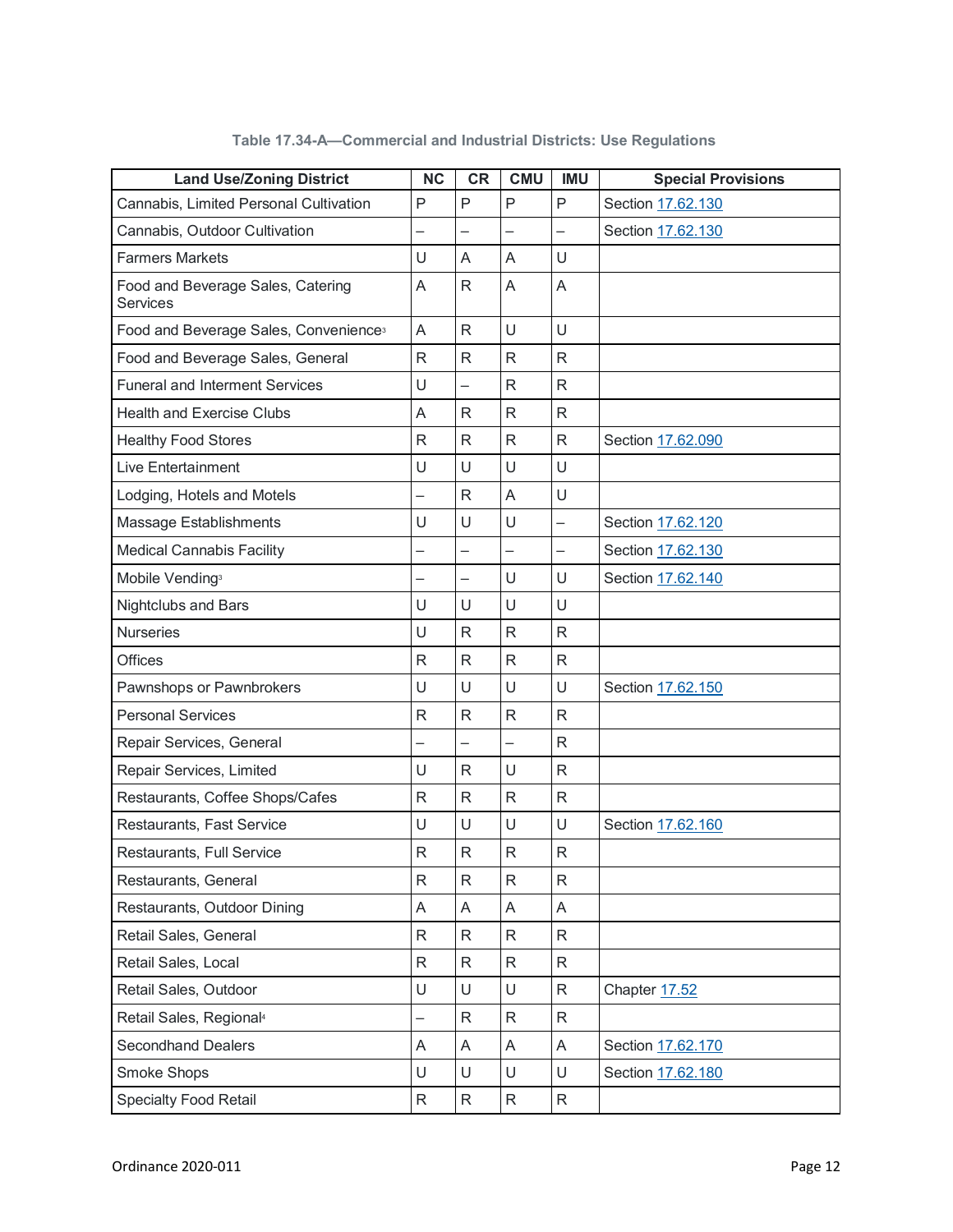| <b>Land Use/Zoning District</b>                      | <b>NC</b>    | <b>CR</b>                | <b>CMU</b>               | <b>IMU</b>               | <b>Special Provisions</b> |
|------------------------------------------------------|--------------|--------------------------|--------------------------|--------------------------|---------------------------|
| Cannabis, Limited Personal Cultivation               | P            | P                        | P                        | P                        | Section 17.62.130         |
| Cannabis, Outdoor Cultivation                        |              |                          |                          |                          | Section 17.62.130         |
| <b>Farmers Markets</b>                               | U            | A                        | A                        | U                        |                           |
| Food and Beverage Sales, Catering<br><b>Services</b> | A            | R                        | A                        | A                        |                           |
| Food and Beverage Sales, Convenience <sup>3</sup>    | A            | R.                       | U                        | U                        |                           |
| Food and Beverage Sales, General                     | $\mathsf{R}$ | R.                       | R.                       | R.                       |                           |
| <b>Funeral and Interment Services</b>                | U            | $\overline{\phantom{0}}$ | R                        | R                        |                           |
| <b>Health and Exercise Clubs</b>                     | A            | R                        | R                        | R                        |                           |
| <b>Healthy Food Stores</b>                           | $\mathsf{R}$ | R                        | R                        | R                        | Section 17.62.090         |
| <b>Live Entertainment</b>                            | U            | U                        | U                        | U                        |                           |
| Lodging, Hotels and Motels                           |              | R                        | A                        | U                        |                           |
| Massage Establishments                               | U            | U                        | U                        | $\overline{\phantom{0}}$ | Section 17.62.120         |
| <b>Medical Cannabis Facility</b>                     |              | -                        | $\overline{\phantom{0}}$ | $\overline{\phantom{0}}$ | Section 17.62.130         |
| Mobile Vending <sup>3</sup>                          |              | -                        | U                        | U                        | Section 17.62.140         |
| <b>Nightclubs and Bars</b>                           | U            | U                        | U                        | U                        |                           |
| <b>Nurseries</b>                                     | U            | $\mathsf{R}$             | R                        | $\mathsf{R}$             |                           |
| <b>Offices</b>                                       | $\mathsf{R}$ | $\mathsf{R}$             | $\mathsf R$              | R                        |                           |
| Pawnshops or Pawnbrokers                             | U            | U                        | U                        | U                        | Section 17.62.150         |
| <b>Personal Services</b>                             | $\mathsf{R}$ | $\mathsf{R}$             | R                        | R                        |                           |
| Repair Services, General                             |              |                          | $\overline{\phantom{0}}$ | R                        |                           |
| Repair Services, Limited                             | U            | $\mathsf{R}$             | U                        | R                        |                           |
| Restaurants, Coffee Shops/Cafes                      | $\mathsf R$  | R                        | $\mathsf R$              | R                        |                           |
| Restaurants, Fast Service                            | U            | U                        | U                        | U                        | Section 17.62.160         |
| Restaurants, Full Service                            | $\mathsf R$  | $\mathsf{R}$             | $\mathsf R$              | R                        |                           |
| Restaurants, General                                 | $\mathsf{R}$ | $\mathsf{R}$             | R                        | R.                       |                           |
| Restaurants, Outdoor Dining                          | A            | A                        | A                        | A                        |                           |
| Retail Sales, General                                | $\mathsf{R}$ | $\mathsf{R}$             | R                        | R                        |                           |
| Retail Sales, Local                                  | $\mathsf{R}$ | R                        | R                        | R                        |                           |
| Retail Sales, Outdoor                                | U            | U                        | U                        | R                        | Chapter 17.52             |
| Retail Sales, Regional <sup>4</sup>                  |              | R                        | R                        | R                        |                           |
| <b>Secondhand Dealers</b>                            | A            | A                        | A                        | A                        | Section 17.62.170         |
| Smoke Shops                                          | U            | U                        | U                        | U                        | Section 17.62.180         |
| <b>Specialty Food Retail</b>                         | $\mathsf{R}$ | $\mathsf{R}$             | R                        | R                        |                           |

**Table 17.34-A—Commercial and Industrial Districts: Use Regulations**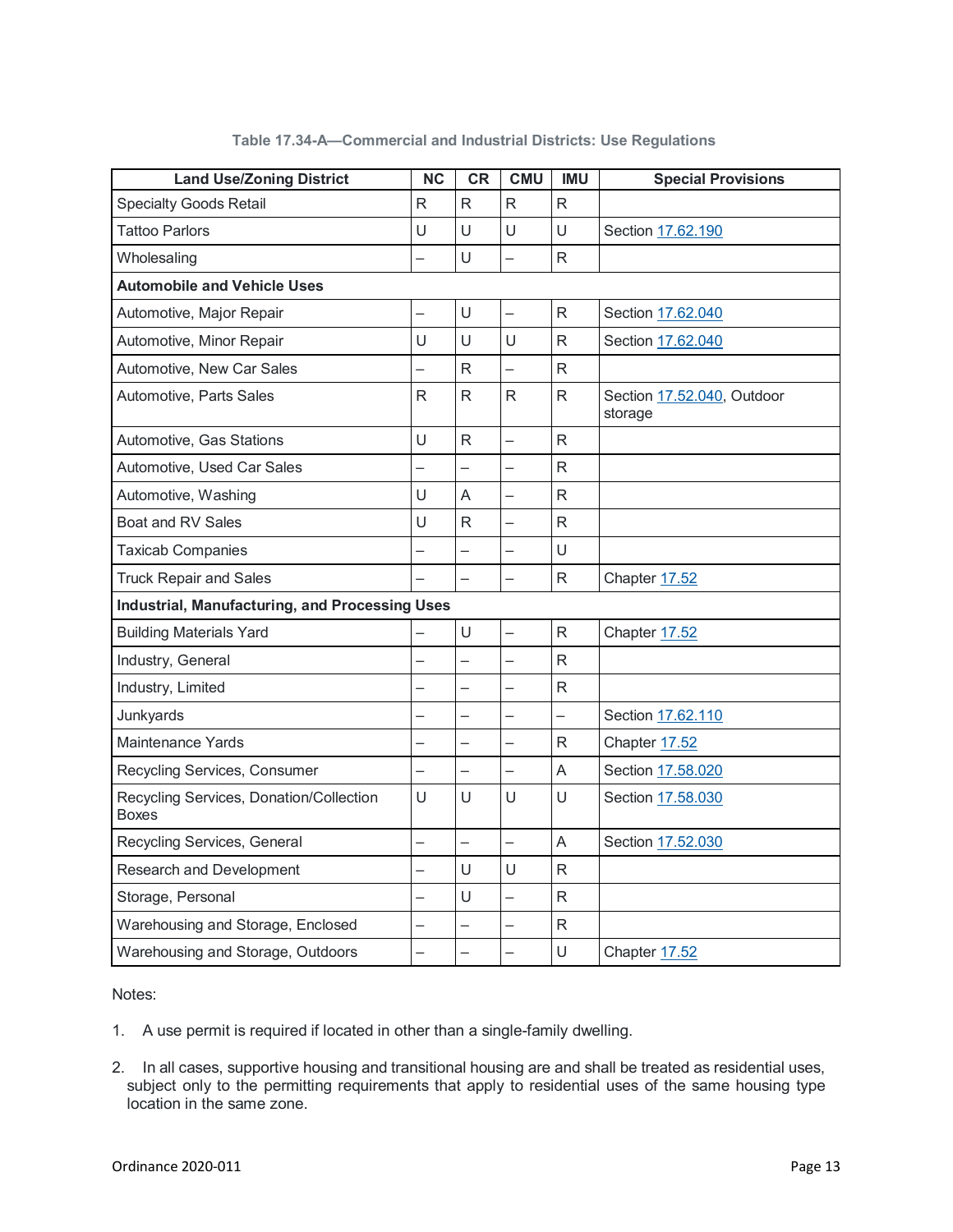| <b>Land Use/Zoning District</b>                         | <b>NC</b>                | <b>CR</b>                | <b>CMU</b>               | <b>IMU</b>               | <b>Special Provisions</b>             |
|---------------------------------------------------------|--------------------------|--------------------------|--------------------------|--------------------------|---------------------------------------|
| <b>Specialty Goods Retail</b>                           | R                        | $\mathsf{R}$             | $\mathsf{R}$             | $\mathsf{R}$             |                                       |
| <b>Tattoo Parlors</b>                                   | U                        | U                        | U                        | U                        | Section 17.62.190                     |
| Wholesaling                                             |                          | $\cup$                   |                          | $\overline{R}$           |                                       |
| <b>Automobile and Vehicle Uses</b>                      |                          |                          |                          |                          |                                       |
| Automotive, Major Repair                                |                          | U                        |                          | $\mathsf{R}$             | Section 17.62.040                     |
| Automotive, Minor Repair                                | U                        | U                        | U                        | R                        | Section 17.62.040                     |
| Automotive, New Car Sales                               |                          | R                        |                          | R                        |                                       |
| Automotive, Parts Sales                                 | R                        | R                        | $\mathsf{R}$             | R                        | Section 17.52.040, Outdoor<br>storage |
| Automotive, Gas Stations                                | U                        | $\mathsf{R}$             |                          | R                        |                                       |
| Automotive, Used Car Sales                              |                          | —                        | $\equiv$                 | $\mathsf R$              |                                       |
| Automotive, Washing                                     | U                        | $\overline{A}$           | ▃                        | $\mathsf{R}$             |                                       |
| <b>Boat and RV Sales</b>                                | U                        | R                        | $\overline{\phantom{0}}$ | R                        |                                       |
| <b>Taxicab Companies</b>                                |                          |                          |                          | Ù                        |                                       |
| <b>Truck Repair and Sales</b>                           |                          |                          |                          | $\mathsf{R}$             | Chapter 17.52                         |
| <b>Industrial, Manufacturing, and Processing Uses</b>   |                          |                          |                          |                          |                                       |
| <b>Building Materials Yard</b>                          |                          | $\cup$                   | $\equiv$                 | R                        | Chapter 17.52                         |
| Industry, General                                       |                          |                          | $\overline{\phantom{0}}$ | R                        |                                       |
| Industry, Limited                                       |                          |                          |                          | $\mathsf{R}$             |                                       |
| Junkyards                                               |                          |                          | $\overline{\phantom{0}}$ | $\overline{\phantom{0}}$ | Section 17.62.110                     |
| <b>Maintenance Yards</b>                                |                          |                          |                          | R                        | Chapter 17.52                         |
| Recycling Services, Consumer                            | $\overline{\phantom{0}}$ | $\overline{\phantom{0}}$ | $\equiv$                 | A                        | Section 17.58.020                     |
| Recycling Services, Donation/Collection<br><b>Boxes</b> | U                        | $\cup$                   | Ù                        | $\cup$                   | Section 17.58.030                     |
| Recycling Services, General                             |                          |                          | $\equiv$                 | A                        | Section 17.52.030                     |
| Research and Development                                |                          | U                        | U                        | $\mathsf{R}$             |                                       |
| Storage, Personal                                       |                          | U                        | $\overline{\phantom{0}}$ | R                        |                                       |
| Warehousing and Storage, Enclosed                       |                          | —                        |                          | R                        |                                       |
| Warehousing and Storage, Outdoors                       |                          |                          |                          | U                        | Chapter 17.52                         |

#### **Table 17.34-A—Commercial and Industrial Districts: Use Regulations**

Notes:

- 1. A use permit is required if located in other than a single-family dwelling.
- 2. In all cases, supportive housing and transitional housing are and shall be treated as residential uses, subject only to the permitting requirements that apply to residential uses of the same housing type location in the same zone.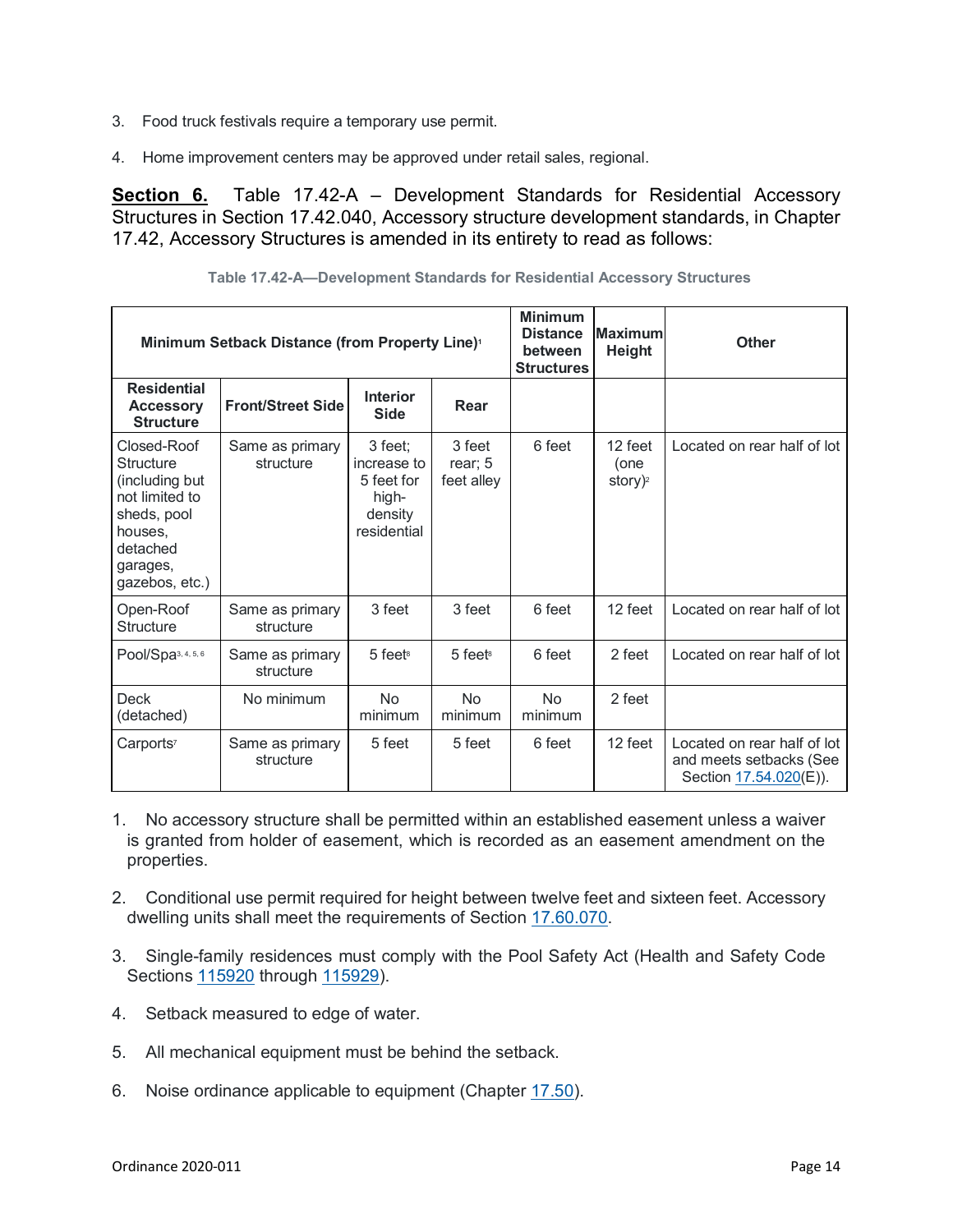- 3. Food truck festivals require a temporary use permit.
- 4. Home improvement centers may be approved under retail sales, regional.

**Section 6.** Table 17.42-A – Development Standards for Residential Accessory Structures in Section 17.42.040, Accessory structure development standards, in Chapter 17.42, Accessory Structures is amended in its entirety to read as follows:

| Minimum Setback Distance (from Property Line) <sup>1</sup>                                                                              |                              |                                                                         | <b>Minimum</b><br><b>Distance</b><br>between<br><b>Structures</b> | <b>Maximum</b><br>Height | <b>Other</b>                              |                                                                                  |
|-----------------------------------------------------------------------------------------------------------------------------------------|------------------------------|-------------------------------------------------------------------------|-------------------------------------------------------------------|--------------------------|-------------------------------------------|----------------------------------------------------------------------------------|
| <b>Residential</b><br><b>Accessory</b><br><b>Structure</b>                                                                              | <b>Front/Street Side</b>     | <b>Interior</b><br><b>Side</b>                                          | Rear                                                              |                          |                                           |                                                                                  |
| Closed-Roof<br><b>Structure</b><br>(including but<br>not limited to<br>sheds, pool<br>houses.<br>detached<br>garages,<br>gazebos, etc.) | Same as primary<br>structure | 3 feet;<br>increase to<br>5 feet for<br>high-<br>density<br>residential | 3 feet<br>rear; 5<br>feet alley                                   | 6 feet                   | 12 feet<br>(one<br>story $)$ <sup>2</sup> | Located on rear half of lot                                                      |
| Open-Roof<br><b>Structure</b>                                                                                                           | Same as primary<br>structure | 3 feet                                                                  | 3 feet                                                            | 6 feet                   | 12 feet                                   | Located on rear half of lot                                                      |
| Pool/Spa3, 4, 5, 6                                                                                                                      | Same as primary<br>structure | 5 feet <sup>8</sup>                                                     | $5$ feets                                                         | 6 feet                   | 2 feet                                    | Located on rear half of lot                                                      |
| <b>Deck</b><br>(detached)                                                                                                               | No minimum                   | <b>No</b><br>minimum                                                    | <b>No</b><br>minimum                                              | <b>No</b><br>minimum     | 2 feet                                    |                                                                                  |
| Carports <sup>7</sup>                                                                                                                   | Same as primary<br>structure | 5 feet                                                                  | 5 feet                                                            | 6 feet                   | 12 feet                                   | Located on rear half of lot<br>and meets setbacks (See<br>Section 17.54.020(E)). |

**Table 17.42-A—Development Standards for Residential Accessory Structures**

- 1. No accessory structure shall be permitted within an established easement unless a waiver is granted from holder of easement, which is recorded as an easement amendment on the properties.
- 2. Conditional use permit required for height between twelve feet and sixteen feet. Accessory dwelling units shall meet the requirements of Section [17.60.070.](https://www.codepublishing.com/CA/SanPablo/#!/SanPablo17/SanPablo1760.html#17.60.070)
- 3. Single-family residences must comply with the Pool Safety Act (Health and Safety Code Sections [115920](http://leginfo.legislature.ca.gov/faces/codes_displaySection.xhtml?lawCode=HSC§ionNum=115920) through [115929\)](http://leginfo.legislature.ca.gov/faces/codes_displaySection.xhtml?lawCode=HSC§ionNum=115929).
- 4. Setback measured to edge of water.
- 5. All mechanical equipment must be behind the setback.
- 6. Noise ordinance applicable to equipment (Chapter [17.50\)](https://www.codepublishing.com/CA/SanPablo/#!/SanPablo17/SanPablo1750.html#17.50).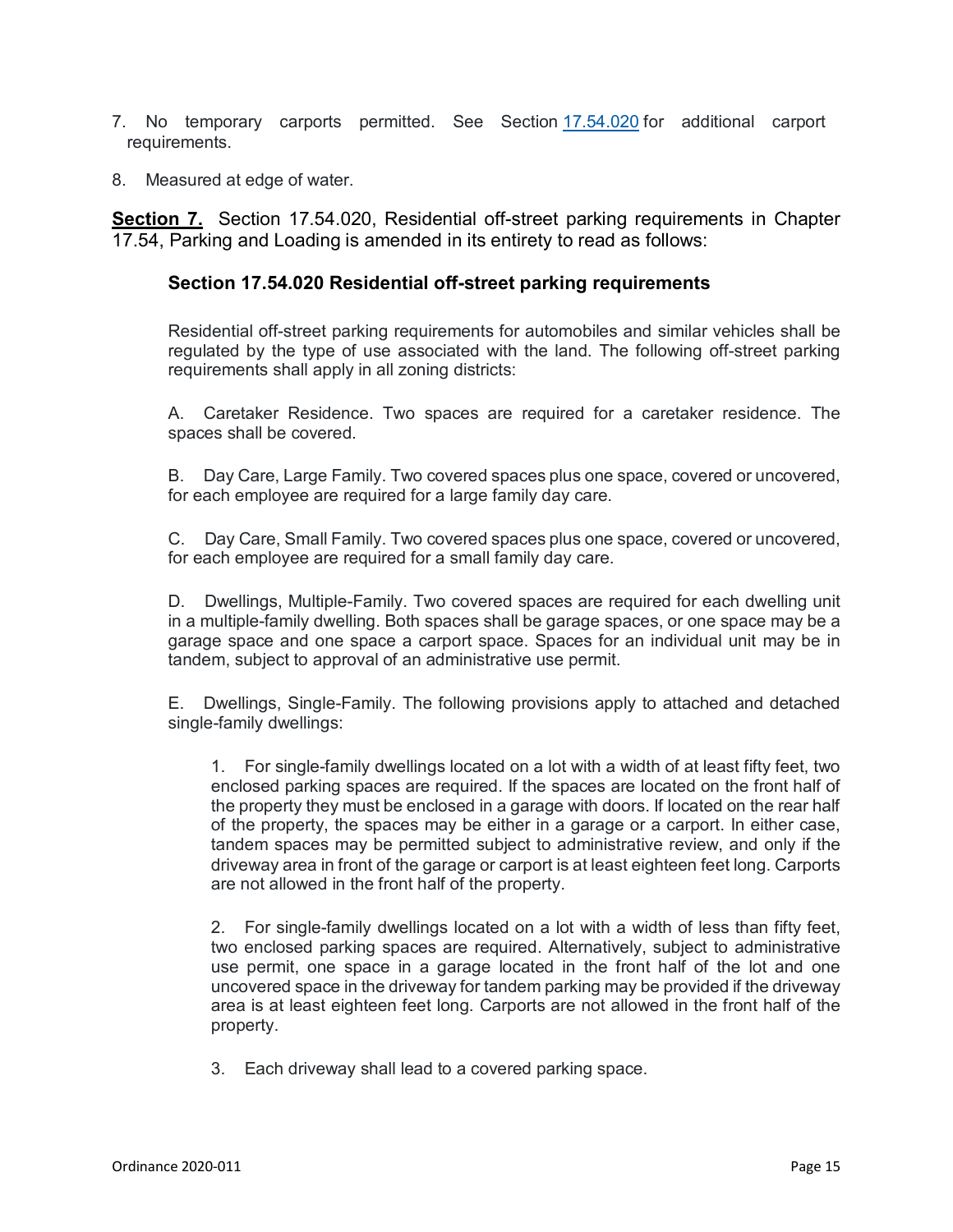- 7. No temporary carports permitted. See Section [17.54.020](https://www.codepublishing.com/CA/SanPablo/#!/SanPablo17/SanPablo1754.html#17.54.020) for additional carport requirements.
- 8. Measured at edge of water.

**Section 7.** Section 17.54.020, Residential off-street parking requirements in Chapter 17.54, Parking and Loading is amended in its entirety to read as follows:

### **Section 17.54.020 Residential off-street parking requirements**

Residential off-street parking requirements for automobiles and similar vehicles shall be regulated by the type of use associated with the land. The following off-street parking requirements shall apply in all zoning districts:

A. Caretaker Residence. Two spaces are required for a caretaker residence. The spaces shall be covered.

B. Day Care, Large Family. Two covered spaces plus one space, covered or uncovered, for each employee are required for a large family day care.

C. Day Care, Small Family. Two covered spaces plus one space, covered or uncovered, for each employee are required for a small family day care.

D. Dwellings, Multiple-Family. Two covered spaces are required for each dwelling unit in a multiple-family dwelling. Both spaces shall be garage spaces, or one space may be a garage space and one space a carport space. Spaces for an individual unit may be in tandem, subject to approval of an administrative use permit.

E. Dwellings, Single-Family. The following provisions apply to attached and detached single-family dwellings:

1. For single-family dwellings located on a lot with a width of at least fifty feet, two enclosed parking spaces are required. If the spaces are located on the front half of the property they must be enclosed in a garage with doors. If located on the rear half of the property, the spaces may be either in a garage or a carport. In either case, tandem spaces may be permitted subject to administrative review, and only if the driveway area in front of the garage or carport is at least eighteen feet long. Carports are not allowed in the front half of the property.

2. For single-family dwellings located on a lot with a width of less than fifty feet, two enclosed parking spaces are required. Alternatively, subject to administrative use permit, one space in a garage located in the front half of the lot and one uncovered space in the driveway for tandem parking may be provided if the driveway area is at least eighteen feet long. Carports are not allowed in the front half of the property.

3. Each driveway shall lead to a covered parking space.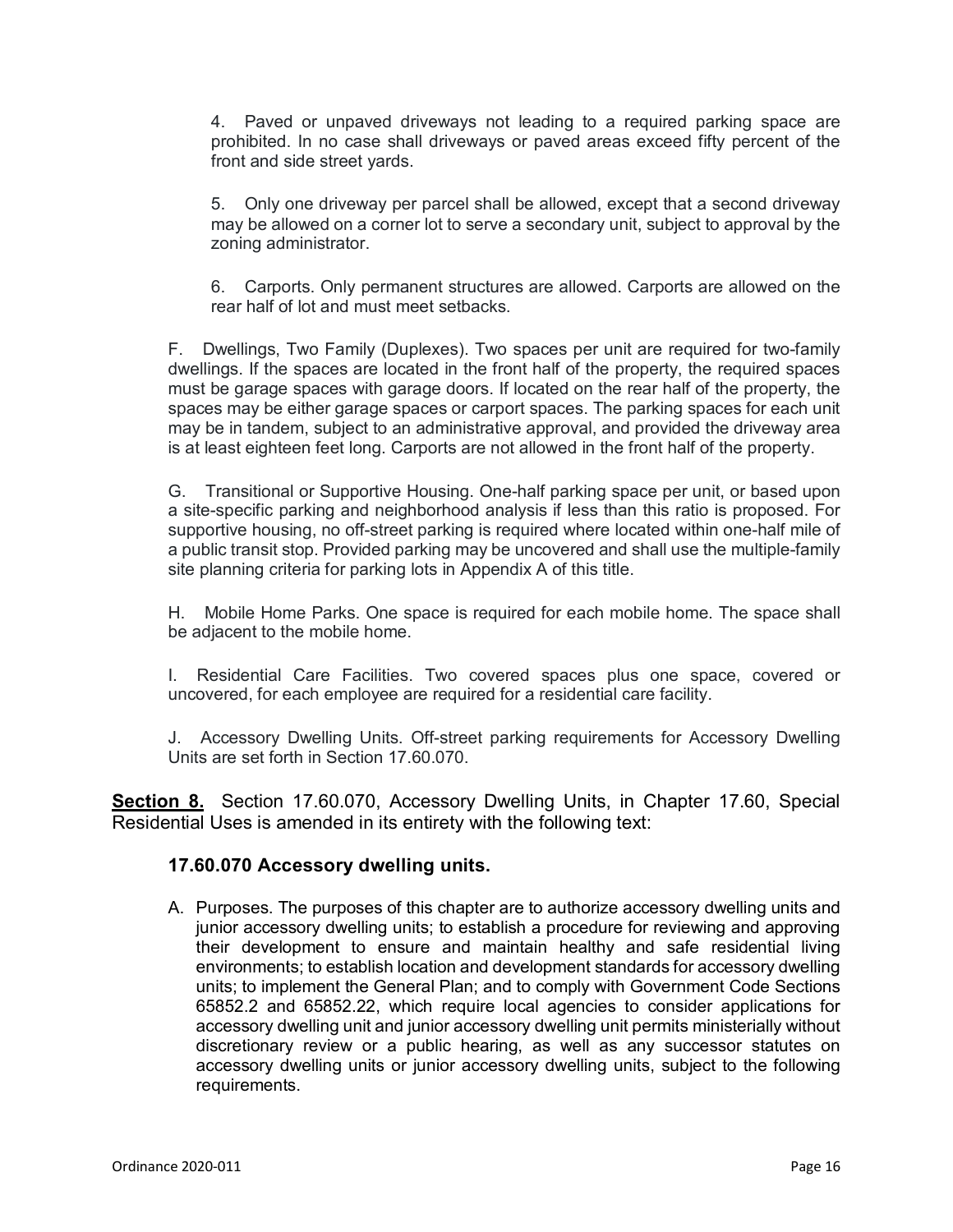4. Paved or unpaved driveways not leading to a required parking space are prohibited. In no case shall driveways or paved areas exceed fifty percent of the front and side street yards.

5. Only one driveway per parcel shall be allowed, except that a second driveway may be allowed on a corner lot to serve a secondary unit, subject to approval by the zoning administrator.

6. Carports. Only permanent structures are allowed. Carports are allowed on the rear half of lot and must meet setbacks.

F. Dwellings, Two Family (Duplexes). Two spaces per unit are required for two-family dwellings. If the spaces are located in the front half of the property, the required spaces must be garage spaces with garage doors. If located on the rear half of the property, the spaces may be either garage spaces or carport spaces. The parking spaces for each unit may be in tandem, subject to an administrative approval, and provided the driveway area is at least eighteen feet long. Carports are not allowed in the front half of the property.

G. Transitional or Supportive Housing. One-half parking space per unit, or based upon a site-specific parking and neighborhood analysis if less than this ratio is proposed. For supportive housing, no off-street parking is required where located within one-half mile of a public transit stop. Provided parking may be uncovered and shall use the multiple-family site planning criteria for parking lots in Appendix A of this title.

H. Mobile Home Parks. One space is required for each mobile home. The space shall be adjacent to the mobile home.

I. Residential Care Facilities. Two covered spaces plus one space, covered or uncovered, for each employee are required for a residential care facility.

J. Accessory Dwelling Units. Off-street parking requirements for Accessory Dwelling Units are set forth in Section 17.60.070.

**Section 8.** Section 17.60.070, Accessory Dwelling Units, in Chapter 17.60, Special Residential Uses is amended in its entirety with the following text:

## **17.60.070 Accessory dwelling units.**

A. Purposes. The purposes of this chapter are to authorize accessory dwelling units and junior accessory dwelling units; to establish a procedure for reviewing and approving their development to ensure and maintain healthy and safe residential living environments; to establish location and development standards for accessory dwelling units; to implement the General Plan; and to comply with Government Code Sections 65852.2 and 65852.22, which require local agencies to consider applications for accessory dwelling unit and junior accessory dwelling unit permits ministerially without discretionary review or a public hearing, as well as any successor statutes on accessory dwelling units or junior accessory dwelling units, subject to the following requirements.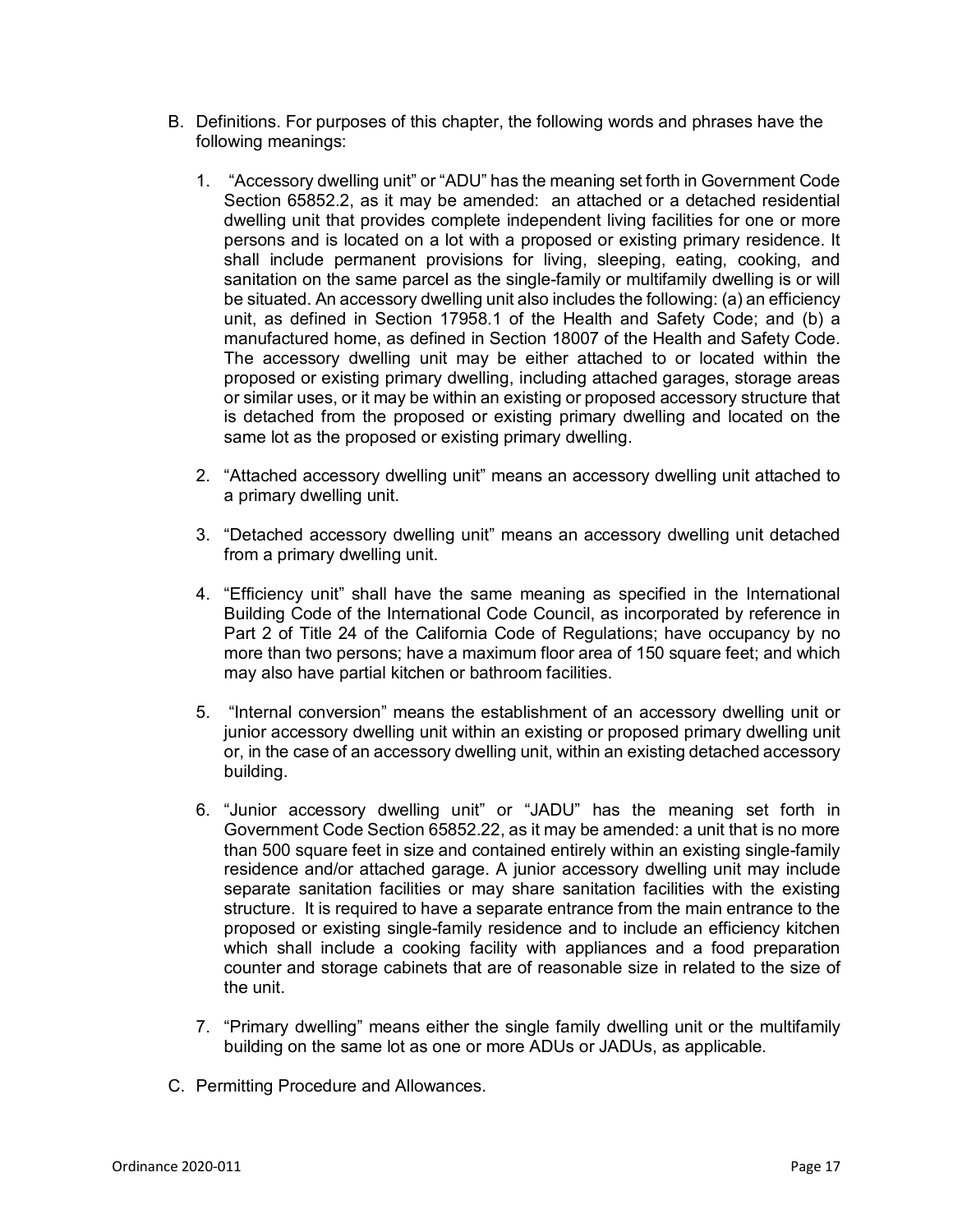- B. Definitions. For purposes of this chapter, the following words and phrases have the following meanings:
	- 1. "Accessory dwelling unit" or "ADU" has the meaning set forth in Government Code Section 65852.2, as it may be amended: an attached or a detached residential dwelling unit that provides complete independent living facilities for one or more persons and is located on a lot with a proposed or existing primary residence. It shall include permanent provisions for living, sleeping, eating, cooking, and sanitation on the same parcel as the single-family or multifamily dwelling is or will be situated. An accessory dwelling unit also includes the following: (a) an efficiency unit, as defined in Section 17958.1 of the Health and Safety Code; and (b) a manufactured home, as defined in Section 18007 of the Health and Safety Code. The accessory dwelling unit may be either attached to or located within the proposed or existing primary dwelling, including attached garages, storage areas or similar uses, or it may be within an existing or proposed accessory structure that is detached from the proposed or existing primary dwelling and located on the same lot as the proposed or existing primary dwelling.
	- 2. "Attached accessory dwelling unit" means an accessory dwelling unit attached to a primary dwelling unit.
	- 3. "Detached accessory dwelling unit" means an accessory dwelling unit detached from a primary dwelling unit.
	- 4. "Efficiency unit" shall have the same meaning as specified in the International Building Code of the International Code Council, as incorporated by reference in Part 2 of Title 24 of the California Code of Regulations; have occupancy by no more than two persons; have a maximum floor area of 150 square feet; and which may also have partial kitchen or bathroom facilities.
	- 5. "Internal conversion" means the establishment of an accessory dwelling unit or junior accessory dwelling unit within an existing or proposed primary dwelling unit or, in the case of an accessory dwelling unit, within an existing detached accessory building.
	- 6. "Junior accessory dwelling unit" or "JADU" has the meaning set forth in Government Code Section 65852.22, as it may be amended: a unit that is no more than 500 square feet in size and contained entirely within an existing single-family residence and/or attached garage. A junior accessory dwelling unit may include separate sanitation facilities or may share sanitation facilities with the existing structure. It is required to have a separate entrance from the main entrance to the proposed or existing single-family residence and to include an efficiency kitchen which shall include a cooking facility with appliances and a food preparation counter and storage cabinets that are of reasonable size in related to the size of the unit.
	- 7. "Primary dwelling" means either the single family dwelling unit or the multifamily building on the same lot as one or more ADUs or JADUs, as applicable.
- C. Permitting Procedure and Allowances.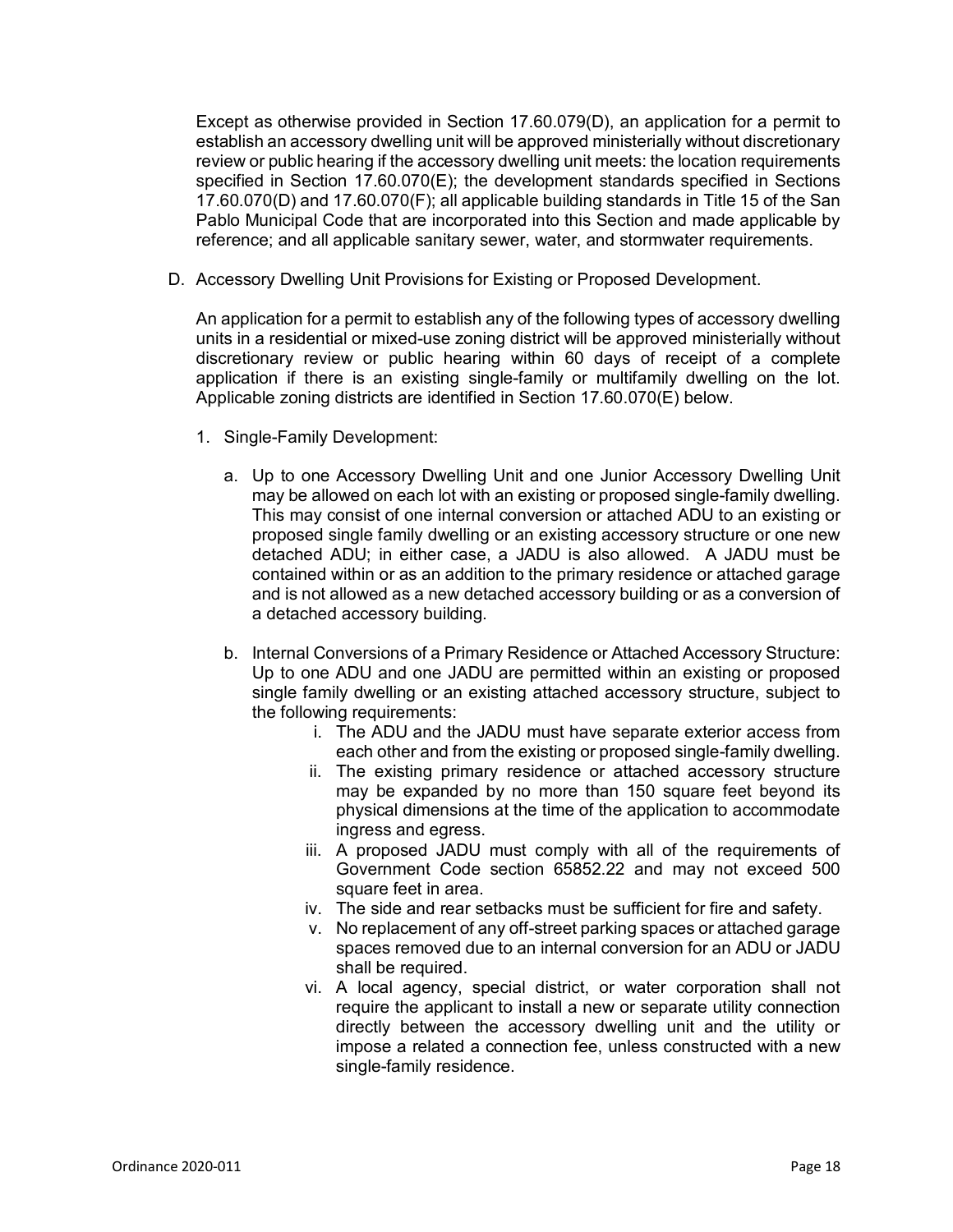Except as otherwise provided in Section 17.60.079(D), an application for a permit to establish an accessory dwelling unit will be approved ministerially without discretionary review or public hearing if the accessory dwelling unit meets: the location requirements specified in Section 17.60.070(E); the development standards specified in Sections 17.60.070(D) and 17.60.070(F); all applicable building standards in Title 15 of the San Pablo Municipal Code that are incorporated into this Section and made applicable by reference; and all applicable sanitary sewer, water, and stormwater requirements.

D. Accessory Dwelling Unit Provisions for Existing or Proposed Development.

An application for a permit to establish any of the following types of accessory dwelling units in a residential or mixed-use zoning district will be approved ministerially without discretionary review or public hearing within 60 days of receipt of a complete application if there is an existing single-family or multifamily dwelling on the lot. Applicable zoning districts are identified in Section 17.60.070(E) below.

- 1. Single-Family Development:
	- a. Up to one Accessory Dwelling Unit and one Junior Accessory Dwelling Unit may be allowed on each lot with an existing or proposed single-family dwelling. This may consist of one internal conversion or attached ADU to an existing or proposed single family dwelling or an existing accessory structure or one new detached ADU; in either case, a JADU is also allowed. A JADU must be contained within or as an addition to the primary residence or attached garage and is not allowed as a new detached accessory building or as a conversion of a detached accessory building.
	- b. Internal Conversions of a Primary Residence or Attached Accessory Structure: Up to one ADU and one JADU are permitted within an existing or proposed single family dwelling or an existing attached accessory structure, subject to the following requirements:
		- i. The ADU and the JADU must have separate exterior access from each other and from the existing or proposed single-family dwelling.
		- ii. The existing primary residence or attached accessory structure may be expanded by no more than 150 square feet beyond its physical dimensions at the time of the application to accommodate ingress and egress.
		- iii. A proposed JADU must comply with all of the requirements of Government Code section 65852.22 and may not exceed 500 square feet in area.
		- iv. The side and rear setbacks must be sufficient for fire and safety.
		- v. No replacement of any off-street parking spaces or attached garage spaces removed due to an internal conversion for an ADU or JADU shall be required.
		- vi. A local agency, special district, or water corporation shall not require the applicant to install a new or separate utility connection directly between the accessory dwelling unit and the utility or impose a related a connection fee, unless constructed with a new single-family residence.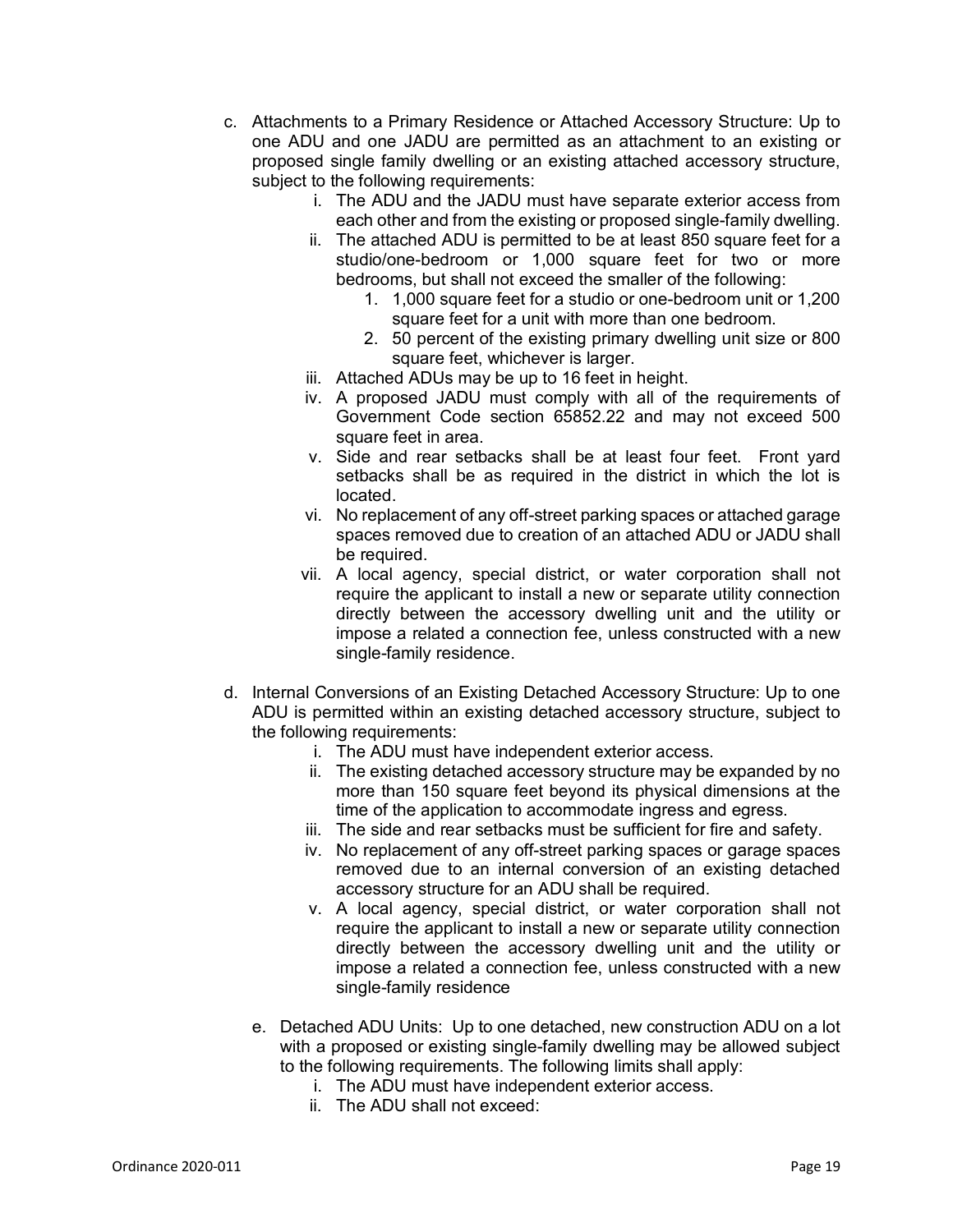- c. Attachments to a Primary Residence or Attached Accessory Structure: Up to one ADU and one JADU are permitted as an attachment to an existing or proposed single family dwelling or an existing attached accessory structure, subject to the following requirements:
	- i. The ADU and the JADU must have separate exterior access from each other and from the existing or proposed single-family dwelling.
	- ii. The attached ADU is permitted to be at least 850 square feet for a studio/one-bedroom or 1,000 square feet for two or more bedrooms, but shall not exceed the smaller of the following:
		- 1. 1,000 square feet for a studio or one-bedroom unit or 1,200 square feet for a unit with more than one bedroom.
		- 2. 50 percent of the existing primary dwelling unit size or 800 square feet, whichever is larger.
	- iii. Attached ADUs may be up to 16 feet in height.
	- iv. A proposed JADU must comply with all of the requirements of Government Code section 65852.22 and may not exceed 500 square feet in area.
	- v. Side and rear setbacks shall be at least four feet. Front yard setbacks shall be as required in the district in which the lot is located.
	- vi. No replacement of any off-street parking spaces or attached garage spaces removed due to creation of an attached ADU or JADU shall be required.
	- vii. A local agency, special district, or water corporation shall not require the applicant to install a new or separate utility connection directly between the accessory dwelling unit and the utility or impose a related a connection fee, unless constructed with a new single-family residence.
- d. Internal Conversions of an Existing Detached Accessory Structure: Up to one ADU is permitted within an existing detached accessory structure, subject to the following requirements:
	- i. The ADU must have independent exterior access.
	- ii. The existing detached accessory structure may be expanded by no more than 150 square feet beyond its physical dimensions at the time of the application to accommodate ingress and egress.
	- iii. The side and rear setbacks must be sufficient for fire and safety.
	- iv. No replacement of any off-street parking spaces or garage spaces removed due to an internal conversion of an existing detached accessory structure for an ADU shall be required.
	- v. A local agency, special district, or water corporation shall not require the applicant to install a new or separate utility connection directly between the accessory dwelling unit and the utility or impose a related a connection fee, unless constructed with a new single-family residence
	- e. Detached ADU Units: Up to one detached, new construction ADU on a lot with a proposed or existing single-family dwelling may be allowed subject to the following requirements. The following limits shall apply:
		- i. The ADU must have independent exterior access.
		- ii. The ADU shall not exceed: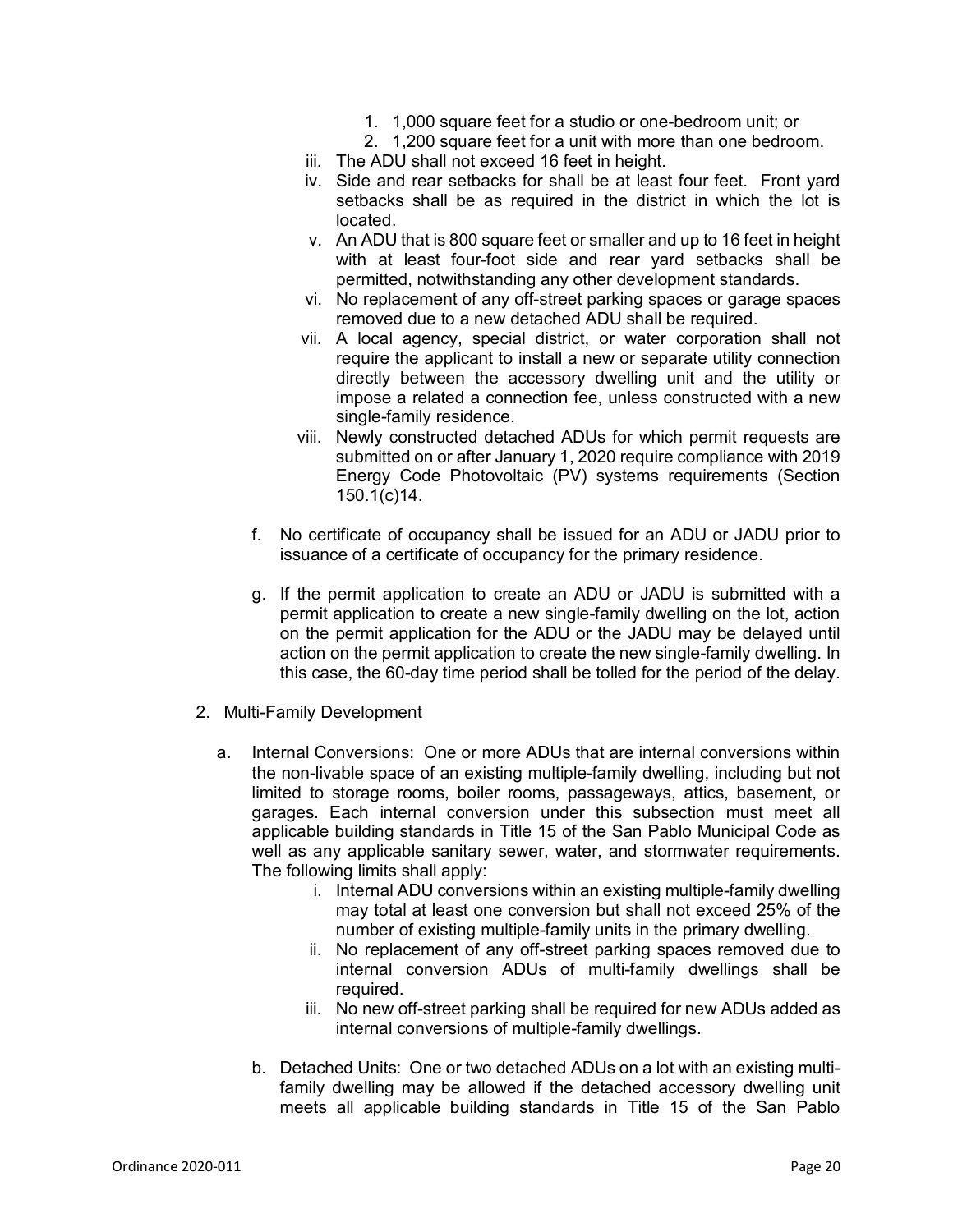- 1. 1,000 square feet for a studio or one-bedroom unit; or
- 2. 1,200 square feet for a unit with more than one bedroom.
- iii. The ADU shall not exceed 16 feet in height.
- iv. Side and rear setbacks for shall be at least four feet. Front yard setbacks shall be as required in the district in which the lot is located.
- v. An ADU that is 800 square feet or smaller and up to 16 feet in height with at least four-foot side and rear yard setbacks shall be permitted, notwithstanding any other development standards.
- vi. No replacement of any off-street parking spaces or garage spaces removed due to a new detached ADU shall be required.
- vii. A local agency, special district, or water corporation shall not require the applicant to install a new or separate utility connection directly between the accessory dwelling unit and the utility or impose a related a connection fee, unless constructed with a new single-family residence.
- viii. Newly constructed detached ADUs for which permit requests are submitted on or after January 1, 2020 require compliance with 2019 Energy Code Photovoltaic (PV) systems requirements (Section 150.1(c)14.
- f. No certificate of occupancy shall be issued for an ADU or JADU prior to issuance of a certificate of occupancy for the primary residence.
- g. If the permit application to create an ADU or JADU is submitted with a permit application to create a new single-family dwelling on the lot, action on the permit application for the ADU or the JADU may be delayed until action on the permit application to create the new single-family dwelling. In this case, the 60-day time period shall be tolled for the period of the delay.
- 2. Multi-Family Development
	- a. Internal Conversions: One or more ADUs that are internal conversions within the non-livable space of an existing multiple-family dwelling, including but not limited to storage rooms, boiler rooms, passageways, attics, basement, or garages. Each internal conversion under this subsection must meet all applicable building standards in Title 15 of the San Pablo Municipal Code as well as any applicable sanitary sewer, water, and stormwater requirements. The following limits shall apply:
		- i. Internal ADU conversions within an existing multiple-family dwelling may total at least one conversion but shall not exceed 25% of the number of existing multiple-family units in the primary dwelling.
		- ii. No replacement of any off-street parking spaces removed due to internal conversion ADUs of multi-family dwellings shall be required.
		- iii. No new off-street parking shall be required for new ADUs added as internal conversions of multiple-family dwellings.
		- b. Detached Units: One or two detached ADUs on a lot with an existing multifamily dwelling may be allowed if the detached accessory dwelling unit meets all applicable building standards in Title 15 of the San Pablo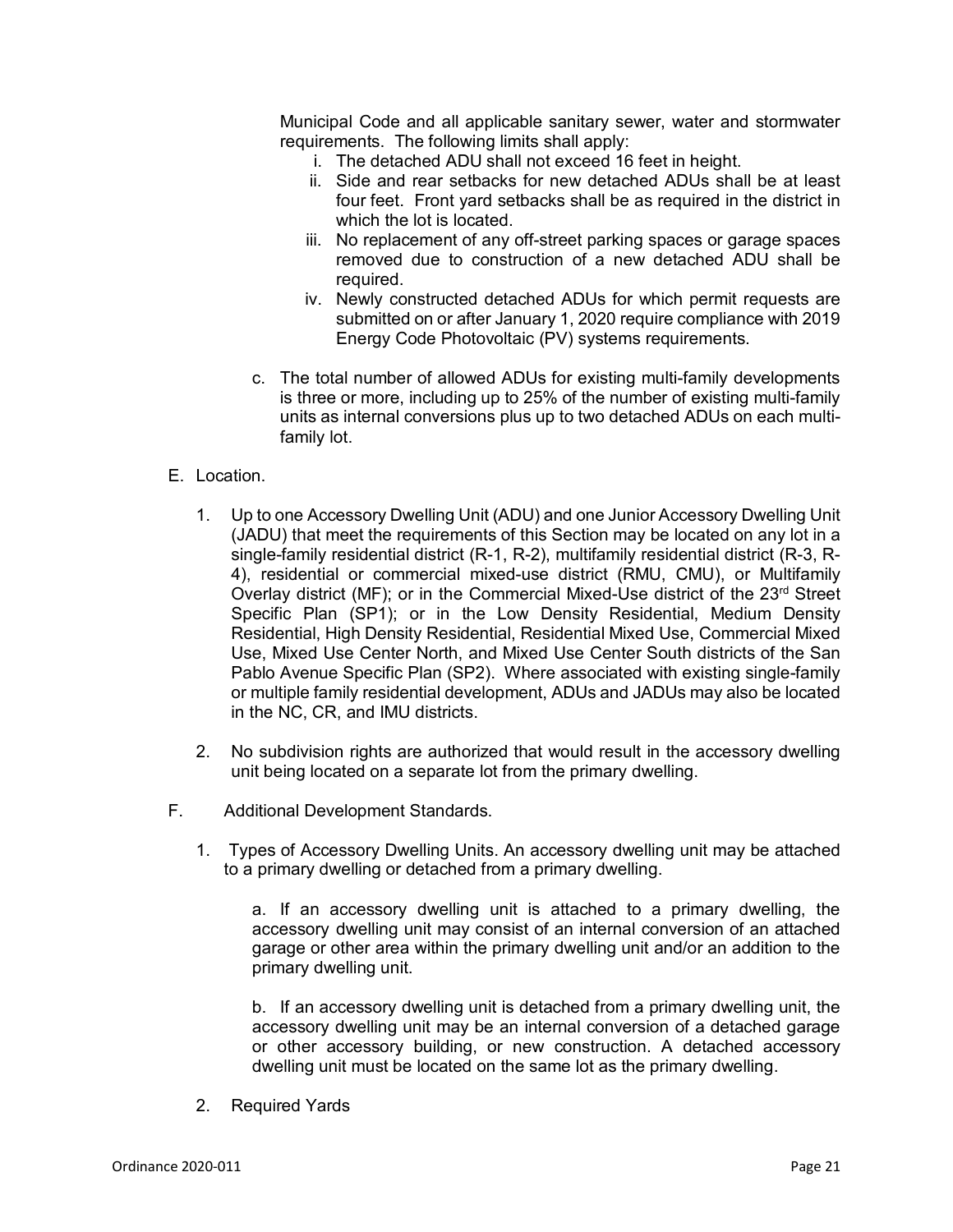Municipal Code and all applicable sanitary sewer, water and stormwater requirements. The following limits shall apply:

- i. The detached ADU shall not exceed 16 feet in height.
- ii. Side and rear setbacks for new detached ADUs shall be at least four feet. Front yard setbacks shall be as required in the district in which the lot is located.
- iii. No replacement of any off-street parking spaces or garage spaces removed due to construction of a new detached ADU shall be required.
- iv. Newly constructed detached ADUs for which permit requests are submitted on or after January 1, 2020 require compliance with 2019 Energy Code Photovoltaic (PV) systems requirements.
- c. The total number of allowed ADUs for existing multi-family developments is three or more, including up to 25% of the number of existing multi-family units as internal conversions plus up to two detached ADUs on each multifamily lot.
- E. Location.
	- 1. Up to one Accessory Dwelling Unit (ADU) and one Junior Accessory Dwelling Unit (JADU) that meet the requirements of this Section may be located on any lot in a single-family residential district (R-1, R-2), multifamily residential district (R-3, R-4), residential or commercial mixed-use district (RMU, CMU), or Multifamily Overlay district (MF); or in the Commercial Mixed-Use district of the 23<sup>rd</sup> Street Specific Plan (SP1); or in the Low Density Residential, Medium Density Residential, High Density Residential, Residential Mixed Use, Commercial Mixed Use, Mixed Use Center North, and Mixed Use Center South districts of the San Pablo Avenue Specific Plan (SP2). Where associated with existing single-family or multiple family residential development, ADUs and JADUs may also be located in the NC, CR, and IMU districts.
	- 2. No subdivision rights are authorized that would result in the accessory dwelling unit being located on a separate lot from the primary dwelling.
- F. Additional Development Standards.
	- 1. Types of Accessory Dwelling Units. An accessory dwelling unit may be attached to a primary dwelling or detached from a primary dwelling.

a. If an accessory dwelling unit is attached to a primary dwelling, the accessory dwelling unit may consist of an internal conversion of an attached garage or other area within the primary dwelling unit and/or an addition to the primary dwelling unit.

b. If an accessory dwelling unit is detached from a primary dwelling unit, the accessory dwelling unit may be an internal conversion of a detached garage or other accessory building, or new construction. A detached accessory dwelling unit must be located on the same lot as the primary dwelling.

2. Required Yards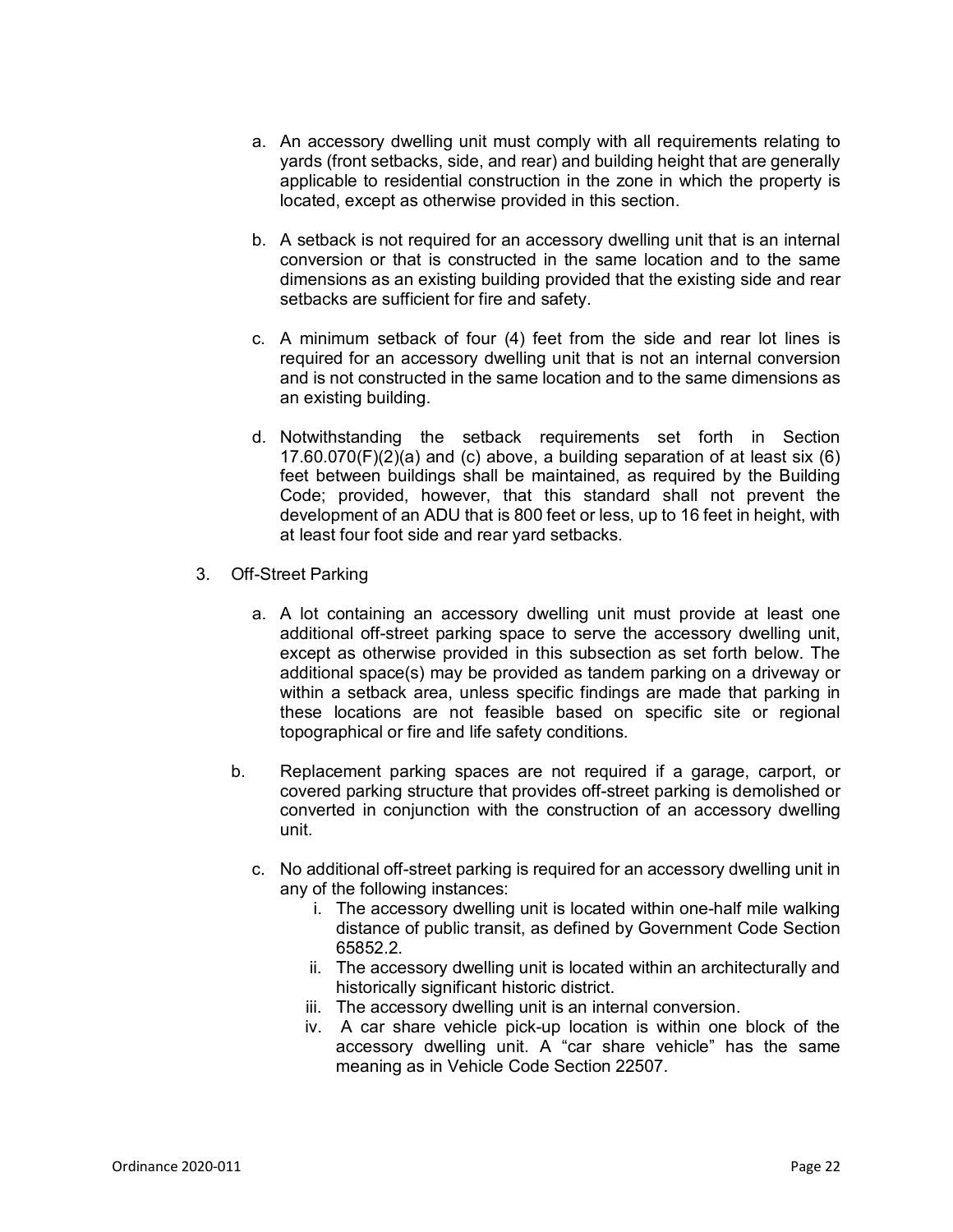- a. An accessory dwelling unit must comply with all requirements relating to yards (front setbacks, side, and rear) and building height that are generally applicable to residential construction in the zone in which the property is located, except as otherwise provided in this section.
- b. A setback is not required for an accessory dwelling unit that is an internal conversion or that is constructed in the same location and to the same dimensions as an existing building provided that the existing side and rear setbacks are sufficient for fire and safety.
- c. A minimum setback of four (4) feet from the side and rear lot lines is required for an accessory dwelling unit that is not an internal conversion and is not constructed in the same location and to the same dimensions as an existing building.
- d. Notwithstanding the setback requirements set forth in Section 17.60.070(F)(2)(a) and (c) above, a building separation of at least six (6) feet between buildings shall be maintained, as required by the Building Code; provided, however, that this standard shall not prevent the development of an ADU that is 800 feet or less, up to 16 feet in height, with at least four foot side and rear yard setbacks.
- 3. Off-Street Parking
	- a. A lot containing an accessory dwelling unit must provide at least one additional off-street parking space to serve the accessory dwelling unit, except as otherwise provided in this subsection as set forth below. The additional space(s) may be provided as tandem parking on a driveway or within a setback area, unless specific findings are made that parking in these locations are not feasible based on specific site or regional topographical or fire and life safety conditions.
	- b. Replacement parking spaces are not required if a garage, carport, or covered parking structure that provides off-street parking is demolished or converted in conjunction with the construction of an accessory dwelling unit.
		- c. No additional off-street parking is required for an accessory dwelling unit in any of the following instances:
			- i. The accessory dwelling unit is located within one-half mile walking distance of public transit, as defined by Government Code Section 65852.2.
			- ii. The accessory dwelling unit is located within an architecturally and historically significant historic district.
			- iii. The accessory dwelling unit is an internal conversion.
			- iv. A car share vehicle pick-up location is within one block of the accessory dwelling unit. A "car share vehicle" has the same meaning as in Vehicle Code Section 22507.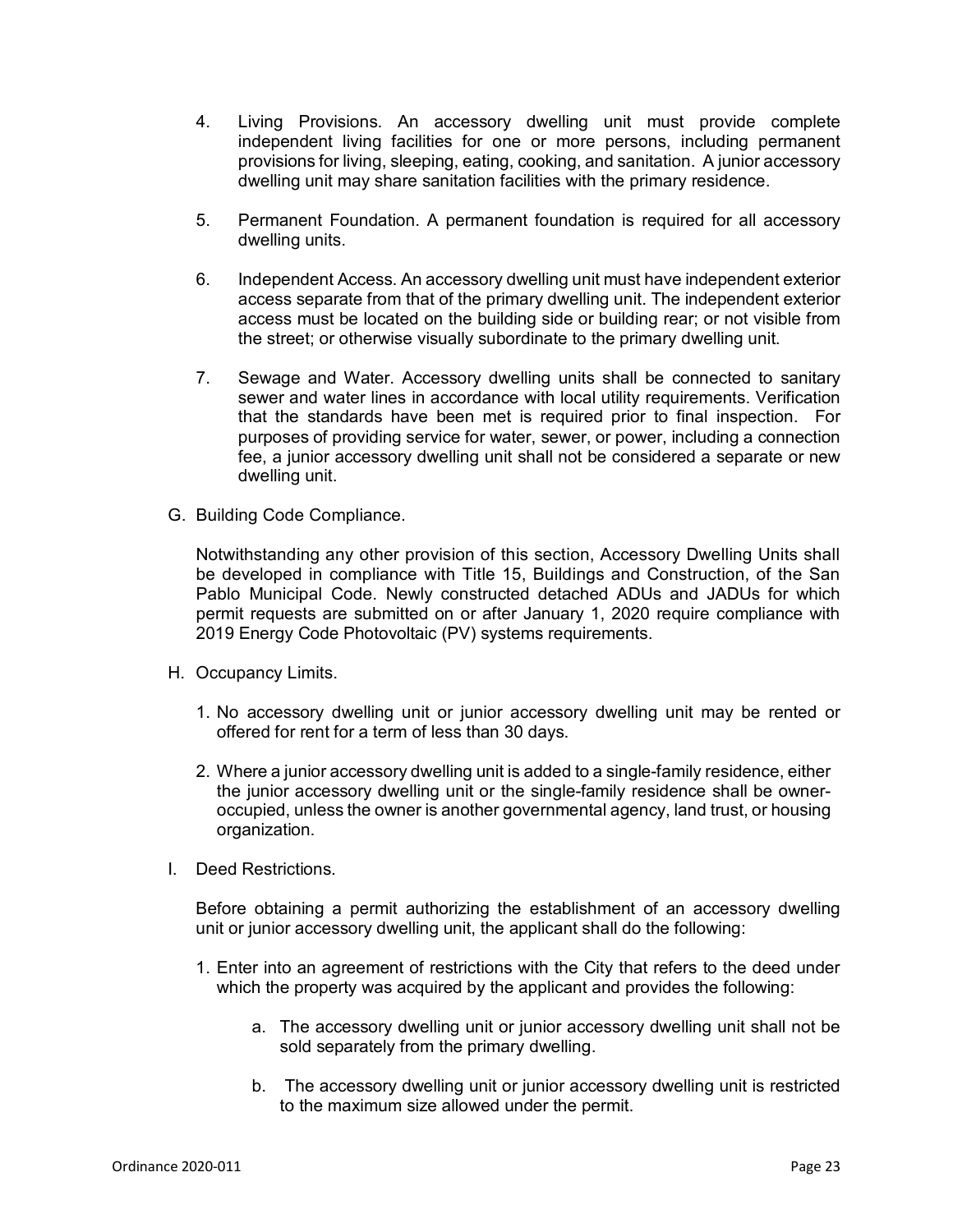- 4. Living Provisions. An accessory dwelling unit must provide complete independent living facilities for one or more persons, including permanent provisions for living, sleeping, eating, cooking, and sanitation. A junior accessory dwelling unit may share sanitation facilities with the primary residence.
- 5. Permanent Foundation. A permanent foundation is required for all accessory dwelling units.
- 6. Independent Access. An accessory dwelling unit must have independent exterior access separate from that of the primary dwelling unit. The independent exterior access must be located on the building side or building rear; or not visible from the street; or otherwise visually subordinate to the primary dwelling unit.
- 7. Sewage and Water. Accessory dwelling units shall be connected to sanitary sewer and water lines in accordance with local utility requirements. Verification that the standards have been met is required prior to final inspection. For purposes of providing service for water, sewer, or power, including a connection fee, a junior accessory dwelling unit shall not be considered a separate or new dwelling unit.
- G. Building Code Compliance.

Notwithstanding any other provision of this section, Accessory Dwelling Units shall be developed in compliance with Title 15, Buildings and Construction, of the San Pablo Municipal Code. Newly constructed detached ADUs and JADUs for which permit requests are submitted on or after January 1, 2020 require compliance with 2019 Energy Code Photovoltaic (PV) systems requirements.

- H. Occupancy Limits.
	- 1. No accessory dwelling unit or junior accessory dwelling unit may be rented or offered for rent for a term of less than 30 days.
	- 2. Where a junior accessory dwelling unit is added to a single-family residence, either the junior accessory dwelling unit or the single-family residence shall be owneroccupied, unless the owner is another governmental agency, land trust, or housing organization.
- I. Deed Restrictions.

Before obtaining a permit authorizing the establishment of an accessory dwelling unit or junior accessory dwelling unit, the applicant shall do the following:

- 1. Enter into an agreement of restrictions with the City that refers to the deed under which the property was acquired by the applicant and provides the following:
	- a. The accessory dwelling unit or junior accessory dwelling unit shall not be sold separately from the primary dwelling.
	- b. The accessory dwelling unit or junior accessory dwelling unit is restricted to the maximum size allowed under the permit.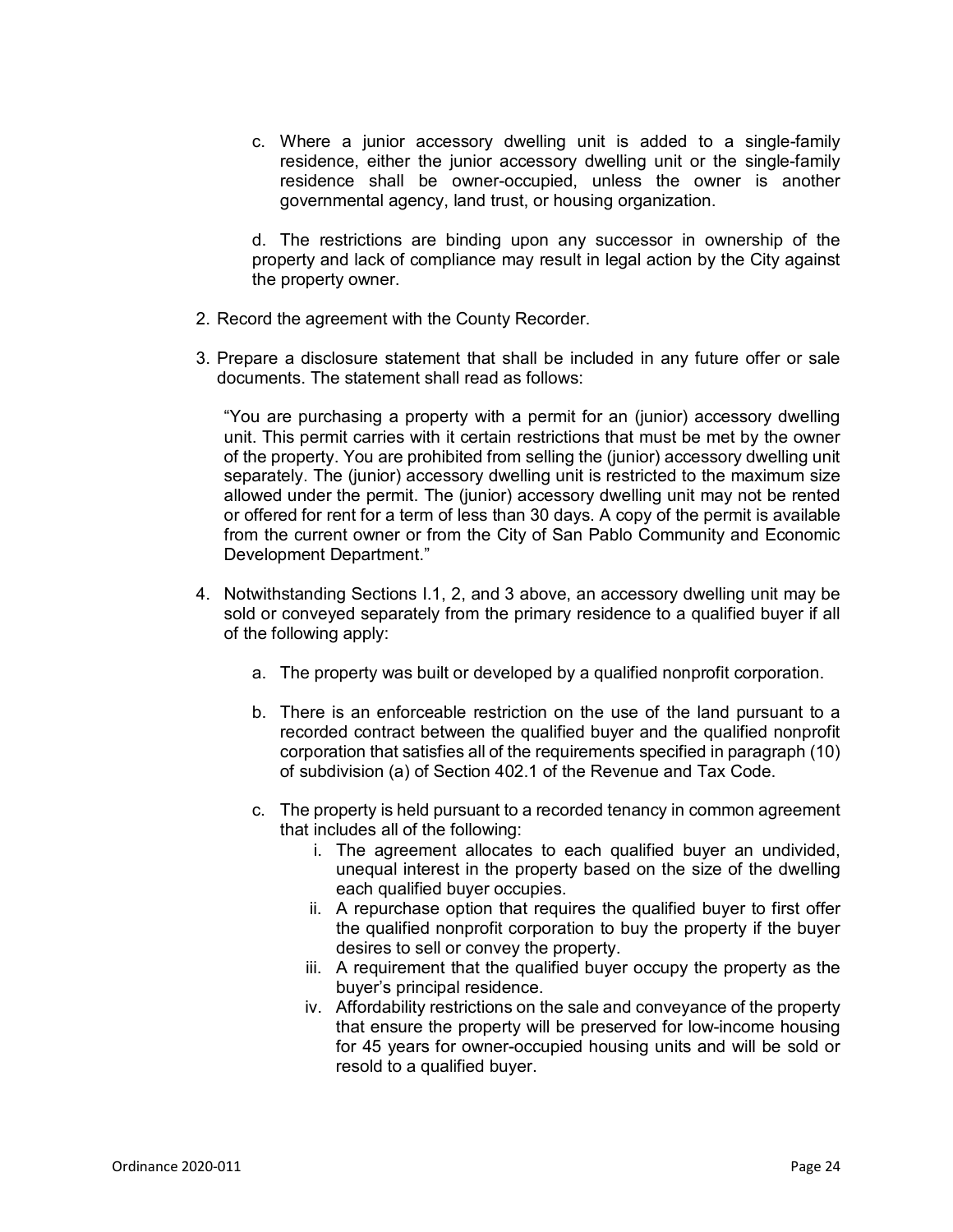c. Where a junior accessory dwelling unit is added to a single-family residence, either the junior accessory dwelling unit or the single-family residence shall be owner-occupied, unless the owner is another governmental agency, land trust, or housing organization.

d. The restrictions are binding upon any successor in ownership of the property and lack of compliance may result in legal action by the City against the property owner.

- 2. Record the agreement with the County Recorder.
- 3. Prepare a disclosure statement that shall be included in any future offer or sale documents. The statement shall read as follows:

"You are purchasing a property with a permit for an (junior) accessory dwelling unit. This permit carries with it certain restrictions that must be met by the owner of the property. You are prohibited from selling the (junior) accessory dwelling unit separately. The (junior) accessory dwelling unit is restricted to the maximum size allowed under the permit. The (junior) accessory dwelling unit may not be rented or offered for rent for a term of less than 30 days. A copy of the permit is available from the current owner or from the City of San Pablo Community and Economic Development Department."

- 4. Notwithstanding Sections I.1, 2, and 3 above, an accessory dwelling unit may be sold or conveyed separately from the primary residence to a qualified buyer if all of the following apply:
	- a. The property was built or developed by a qualified nonprofit corporation.
	- b. There is an enforceable restriction on the use of the land pursuant to a recorded contract between the qualified buyer and the qualified nonprofit corporation that satisfies all of the requirements specified in paragraph (10) of subdivision (a) of Section 402.1 of the Revenue and Tax Code.
	- c. The property is held pursuant to a recorded tenancy in common agreement that includes all of the following:
		- i. The agreement allocates to each qualified buyer an undivided, unequal interest in the property based on the size of the dwelling each qualified buyer occupies.
		- ii. A repurchase option that requires the qualified buyer to first offer the qualified nonprofit corporation to buy the property if the buyer desires to sell or convey the property.
		- iii. A requirement that the qualified buyer occupy the property as the buyer's principal residence.
		- iv. Affordability restrictions on the sale and conveyance of the property that ensure the property will be preserved for low-income housing for 45 years for owner-occupied housing units and will be sold or resold to a qualified buyer.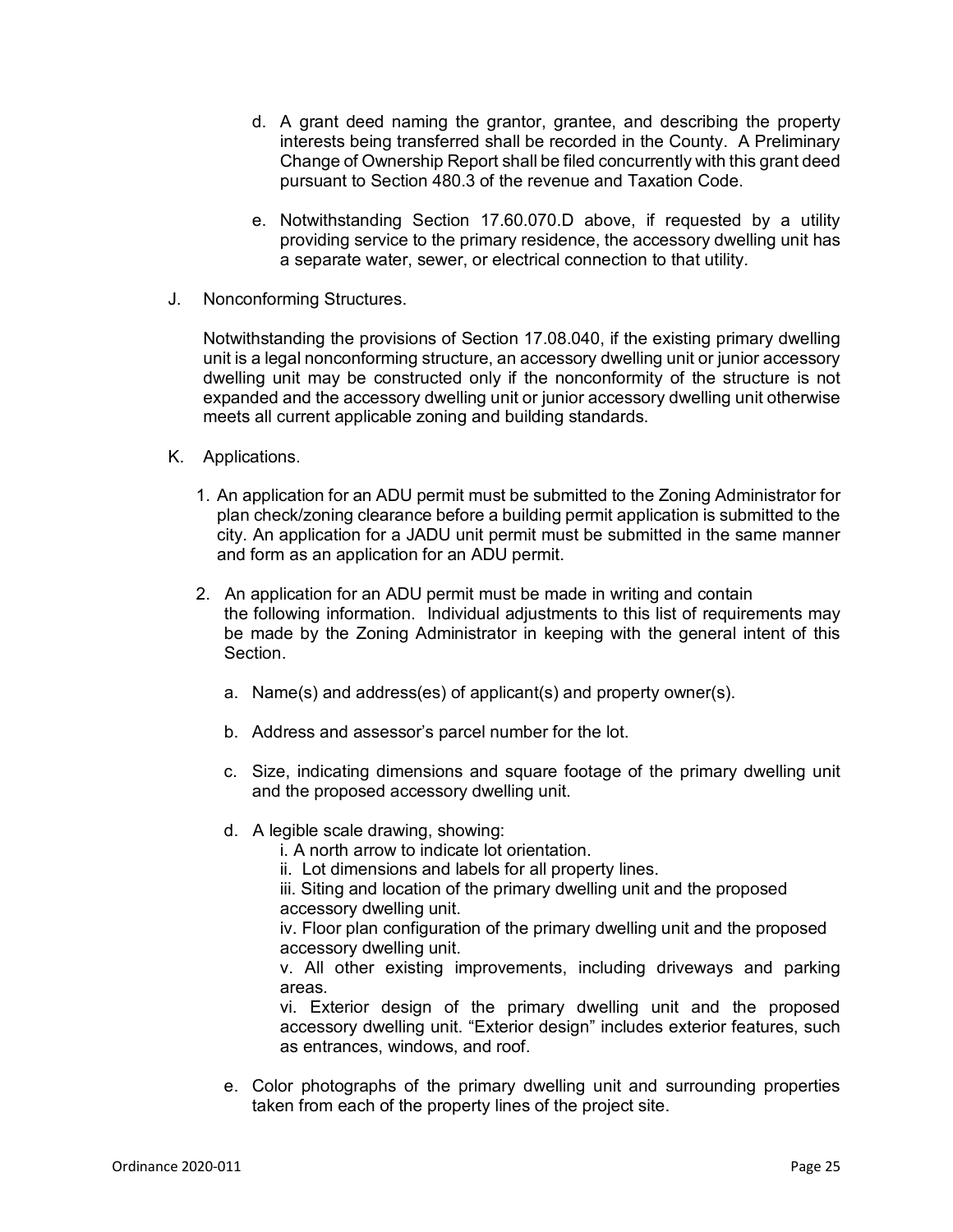- d. A grant deed naming the grantor, grantee, and describing the property interests being transferred shall be recorded in the County. A Preliminary Change of Ownership Report shall be filed concurrently with this grant deed pursuant to Section 480.3 of the revenue and Taxation Code.
- e. Notwithstanding Section 17.60.070.D above, if requested by a utility providing service to the primary residence, the accessory dwelling unit has a separate water, sewer, or electrical connection to that utility.
- J. Nonconforming Structures.

Notwithstanding the provisions of Section 17.08.040, if the existing primary dwelling unit is a legal nonconforming structure, an accessory dwelling unit or junior accessory dwelling unit may be constructed only if the nonconformity of the structure is not expanded and the accessory dwelling unit or junior accessory dwelling unit otherwise meets all current applicable zoning and building standards.

- K. Applications.
	- 1. An application for an ADU permit must be submitted to the Zoning Administrator for plan check/zoning clearance before a building permit application is submitted to the city. An application for a JADU unit permit must be submitted in the same manner and form as an application for an ADU permit.
	- 2. An application for an ADU permit must be made in writing and contain the following information. Individual adjustments to this list of requirements may be made by the Zoning Administrator in keeping with the general intent of this Section.
		- a. Name(s) and address(es) of applicant(s) and property owner(s).
		- b. Address and assessor's parcel number for the lot.
		- c. Size, indicating dimensions and square footage of the primary dwelling unit and the proposed accessory dwelling unit.
		- d. A legible scale drawing, showing:

i. A north arrow to indicate lot orientation.

ii. Lot dimensions and labels for all property lines.

iii. Siting and location of the primary dwelling unit and the proposed accessory dwelling unit.

iv. Floor plan configuration of the primary dwelling unit and the proposed accessory dwelling unit.

v. All other existing improvements, including driveways and parking areas.

vi. Exterior design of the primary dwelling unit and the proposed accessory dwelling unit. "Exterior design" includes exterior features, such as entrances, windows, and roof.

e. Color photographs of the primary dwelling unit and surrounding properties taken from each of the property lines of the project site.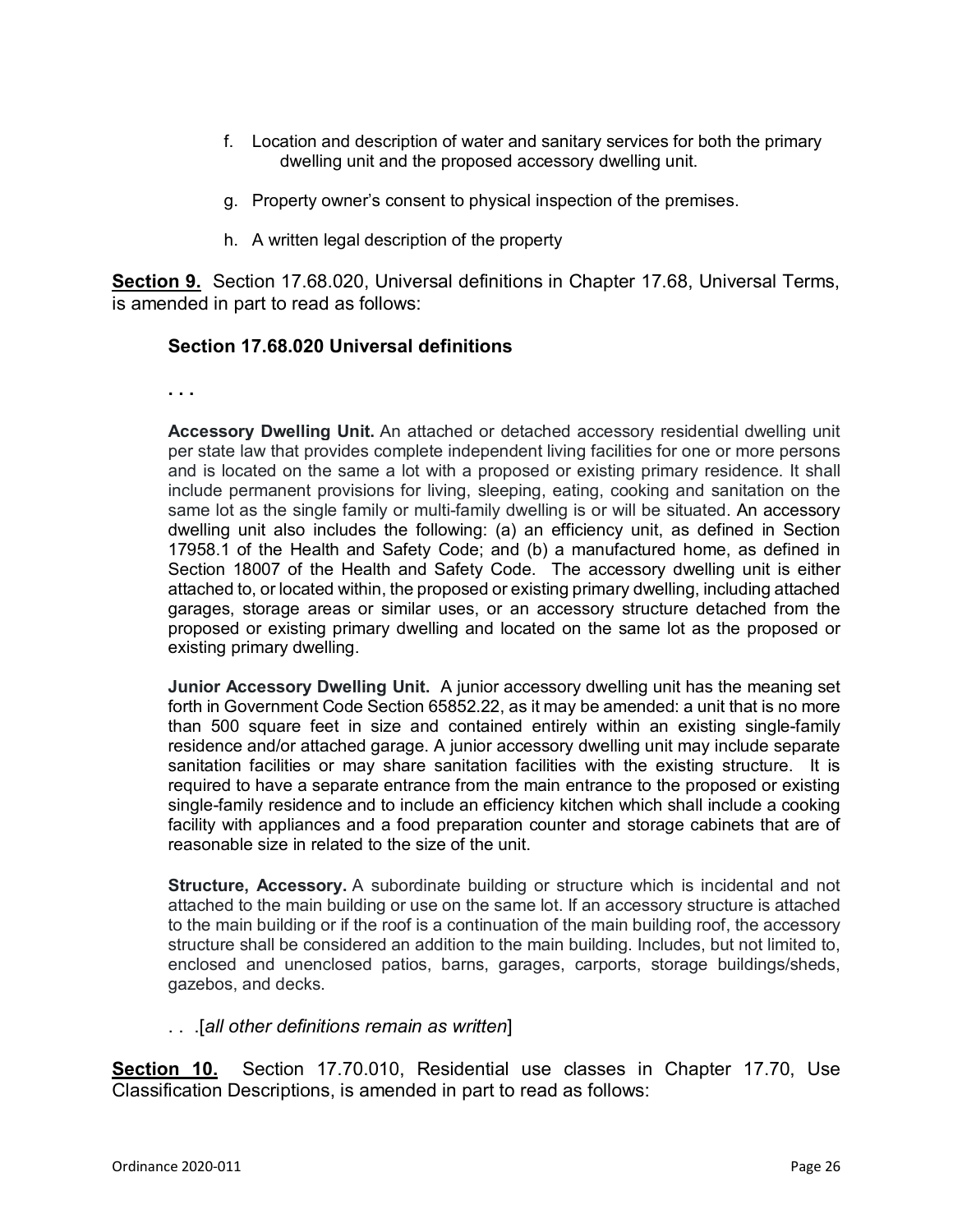- f. Location and description of water and sanitary services for both the primary dwelling unit and the proposed accessory dwelling unit.
- g. Property owner's consent to physical inspection of the premises.
- h. A written legal description of the property

**Section 9.** Section 17.68.020, Universal definitions in Chapter 17.68, Universal Terms, is amended in part to read as follows:

## **Section 17.68.020 Universal definitions**

**. . .** 

**Accessory Dwelling Unit.** An attached or detached accessory residential dwelling unit per state law that provides complete independent living facilities for one or more persons and is located on the same a lot with a proposed or existing primary residence. It shall include permanent provisions for living, sleeping, eating, cooking and sanitation on the same lot as the single family or multi-family dwelling is or will be situated. An accessory dwelling unit also includes the following: (a) an efficiency unit, as defined in Section 17958.1 of the Health and Safety Code; and (b) a manufactured home, as defined in Section 18007 of the Health and Safety Code. The accessory dwelling unit is either attached to, or located within, the proposed or existing primary dwelling, including attached garages, storage areas or similar uses, or an accessory structure detached from the proposed or existing primary dwelling and located on the same lot as the proposed or existing primary dwelling.

**Junior Accessory Dwelling Unit.** A junior accessory dwelling unit has the meaning set forth in Government Code Section 65852.22, as it may be amended: a unit that is no more than 500 square feet in size and contained entirely within an existing single-family residence and/or attached garage. A junior accessory dwelling unit may include separate sanitation facilities or may share sanitation facilities with the existing structure. It is required to have a separate entrance from the main entrance to the proposed or existing single-family residence and to include an efficiency kitchen which shall include a cooking facility with appliances and a food preparation counter and storage cabinets that are of reasonable size in related to the size of the unit.

**Structure, Accessory.** A subordinate building or structure which is incidental and not attached to the main building or use on the same lot. If an accessory structure is attached to the main building or if the roof is a continuation of the main building roof, the accessory structure shall be considered an addition to the main building. Includes, but not limited to, enclosed and unenclosed patios, barns, garages, carports, storage buildings/sheds, gazebos, and decks.

. . .[*all other definitions remain as written*]

**Section 10.** Section 17.70.010, Residential use classes in Chapter 17.70, Use Classification Descriptions, is amended in part to read as follows: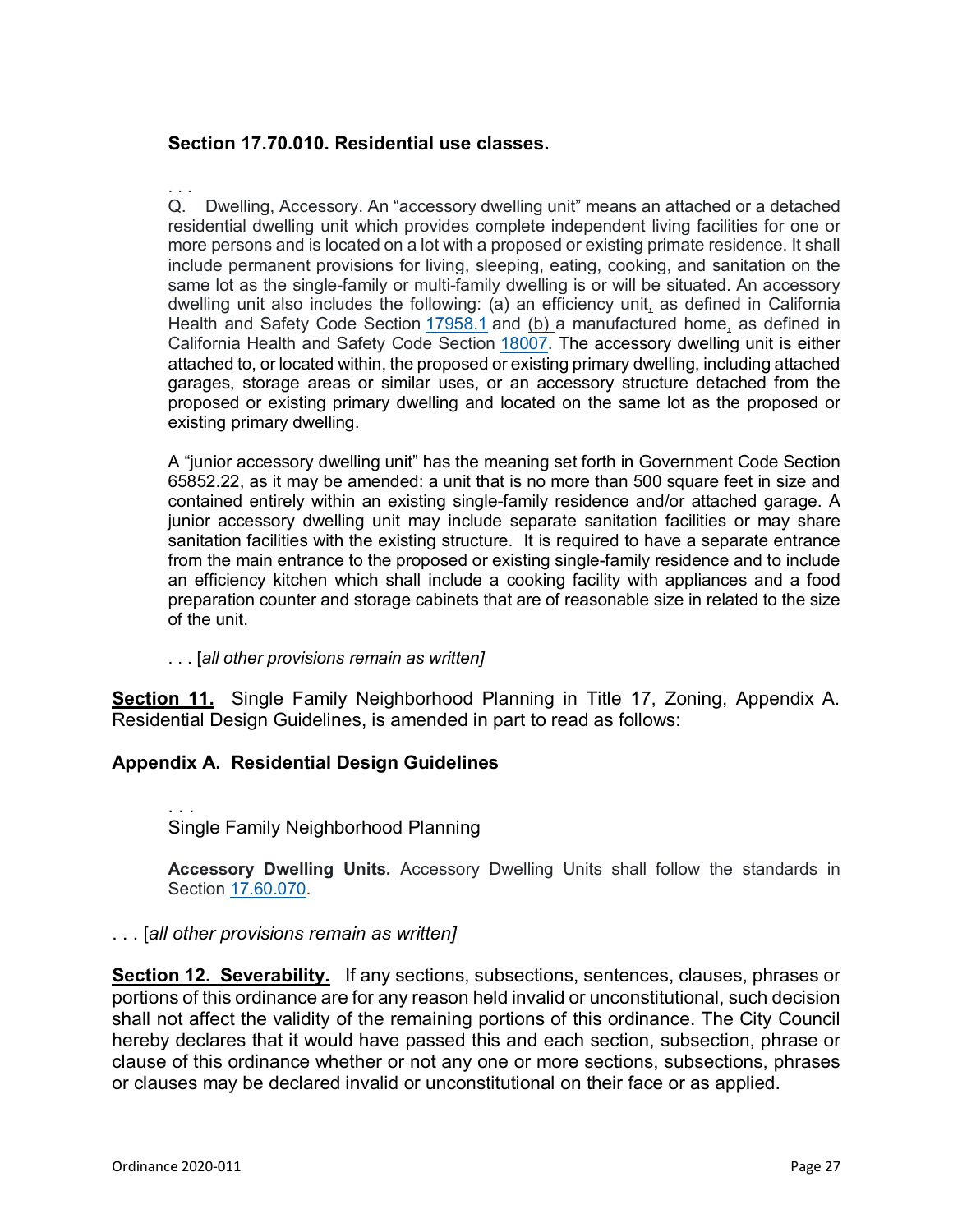## **Section 17.70.010. Residential use classes.**

. . . Q. Dwelling, Accessory. An "accessory dwelling unit" means an attached or a detached residential dwelling unit which provides complete independent living facilities for one or more persons and is located on a lot with a proposed or existing primate residence. It shall include permanent provisions for living, sleeping, eating, cooking, and sanitation on the same lot as the single-family or multi-family dwelling is or will be situated. An accessory dwelling unit also includes the following: (a) an efficiency unit, as defined in California Health and Safety Code Section [17958.1](http://leginfo.legislature.ca.gov/faces/codes_displaySection.xhtml?lawCode=HSC§ionNum=17958.1) and (b) a manufactured home, as defined in California Health and Safety Code Section [18007.](http://leginfo.legislature.ca.gov/faces/codes_displaySection.xhtml?lawCode=HSC§ionNum=18007) The accessory dwelling unit is either attached to, or located within, the proposed or existing primary dwelling, including attached garages, storage areas or similar uses, or an accessory structure detached from the proposed or existing primary dwelling and located on the same lot as the proposed or existing primary dwelling.

A "junior accessory dwelling unit" has the meaning set forth in Government Code Section 65852.22, as it may be amended: a unit that is no more than 500 square feet in size and contained entirely within an existing single-family residence and/or attached garage. A junior accessory dwelling unit may include separate sanitation facilities or may share sanitation facilities with the existing structure. It is required to have a separate entrance from the main entrance to the proposed or existing single-family residence and to include an efficiency kitchen which shall include a cooking facility with appliances and a food preparation counter and storage cabinets that are of reasonable size in related to the size of the unit.

. . . [*all other provisions remain as written]*

**Section 11.** Single Family Neighborhood Planning in Title 17, Zoning, Appendix A. Residential Design Guidelines, is amended in part to read as follows:

## **Appendix A. Residential Design Guidelines**

. . . Single Family Neighborhood Planning

**Accessory Dwelling Units.** Accessory Dwelling Units shall follow the standards in Section [17.60.070.](https://www.codepublishing.com/CA/SanPablo/#!/SanPablo17/SanPablo1760.html#17.60.070)

### . . . [*all other provisions remain as written]*

**Section 12. Severability.** If any sections, subsections, sentences, clauses, phrases or portions of this ordinance are for any reason held invalid or unconstitutional, such decision shall not affect the validity of the remaining portions of this ordinance. The City Council hereby declares that it would have passed this and each section, subsection, phrase or clause of this ordinance whether or not any one or more sections, subsections, phrases or clauses may be declared invalid or unconstitutional on their face or as applied.